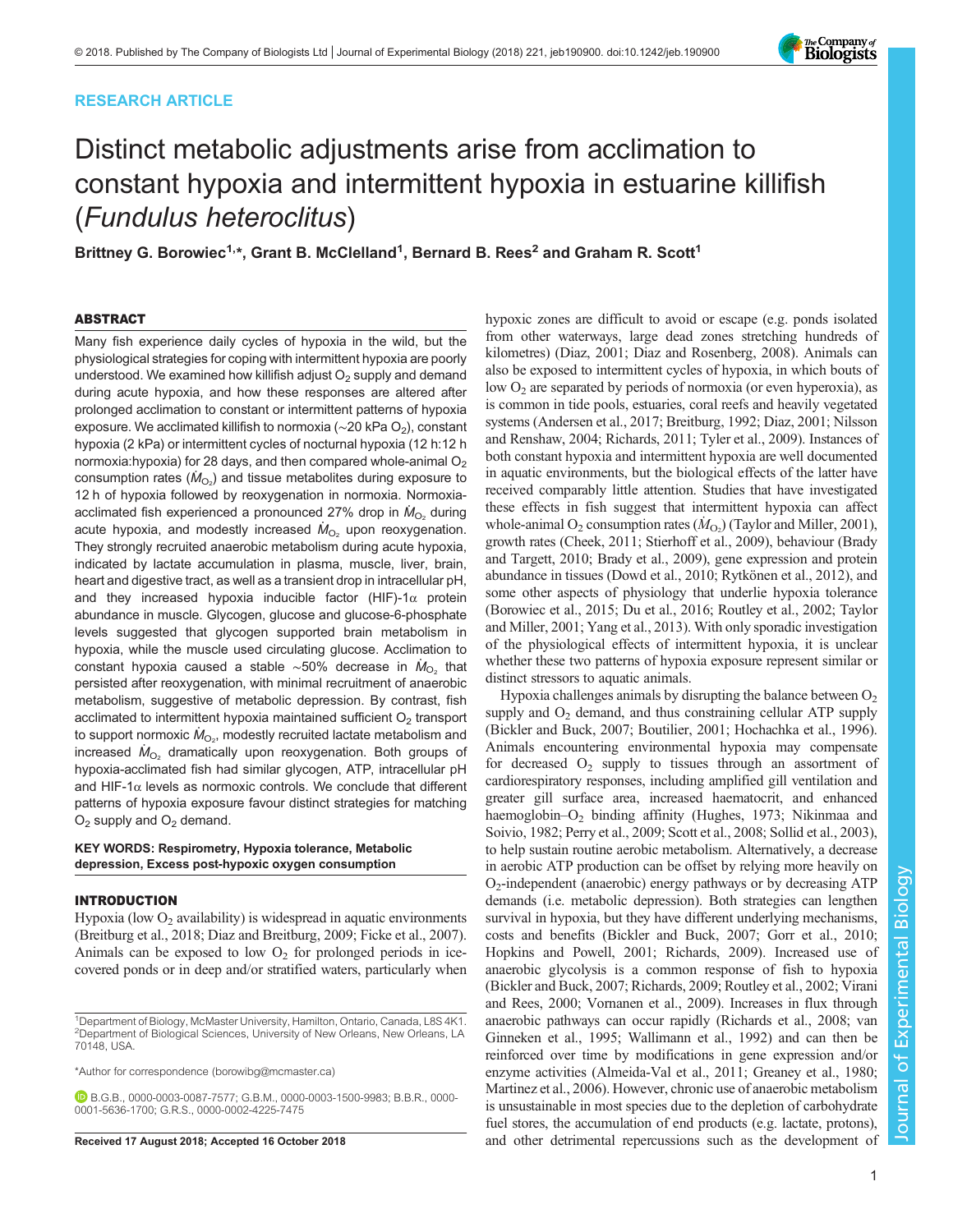# RESEARCH ARTICLE

# Distinct metabolic adjustments arise from acclimation to constant hypoxia and intermittent hypoxia in estuarine killifish (Fundulus heteroclitus)

Brittney G. Borowiec<sup>1,</sup>\*, Grant B. McClelland<sup>1</sup>, Bernard B. Rees<sup>2</sup> and Graham R. Scott<sup>1</sup>

# ABSTRACT

Many fish experience daily cycles of hypoxia in the wild, but the physiological strategies for coping with intermittent hypoxia are poorly understood. We examined how killifish adjust  $O<sub>2</sub>$  supply and demand during acute hypoxia, and how these responses are altered after prolonged acclimation to constant or intermittent patterns of hypoxia exposure. We acclimated killifish to normoxia ( $\sim$ 20 kPa O<sub>2</sub>), constant hypoxia (2 kPa) or intermittent cycles of nocturnal hypoxia (12 h:12 h normoxia:hypoxia) for 28 days, and then compared whole-animal O<sub>2</sub> consumption rates ( $\dot M_{\rm O_2}$ ) and tissue metabolites during exposure to 12 h of hypoxia followed by reoxygenation in normoxia. Normoxiaacclimated fish experienced a pronounced 27% drop in  $\dot{M}_{\odot}$ , during acute hypoxia, and modestly increased  $M_{\text{O}_2}$  upon reoxygenation. They strongly recruited anaerobic metabolism during acute hypoxia, indicated by lactate accumulation in plasma, muscle, liver, brain, heart and digestive tract, as well as a transient drop in intracellular pH, and they increased hypoxia inducible factor (HIF)-1 $\alpha$  protein abundance in muscle. Glycogen, glucose and glucose-6-phosphate levels suggested that glycogen supported brain metabolism in hypoxia, while the muscle used circulating glucose. Acclimation to constant hypoxia caused a stable ~50% decrease in  $\dot{M}_{O_2}$  that persisted after reoxygenation, with minimal recruitment of anaerobic metabolism, suggestive of metabolic depression. By contrast, fish acclimated to intermittent hypoxia maintained sufficient  $O<sub>2</sub>$  transport to support normoxic  $\dot{M}_{\rm O_2}$ , modestly recruited lactate metabolism and increased  $M_{O_2}$  dramatically upon reoxygenation. Both groups of hypoxia-acclimated fish had similar glycogen, ATP, intracellular pH and HIF-1 $\alpha$  levels as normoxic controls. We conclude that different patterns of hypoxia exposure favour distinct strategies for matching  $O<sub>2</sub>$  supply and  $O<sub>2</sub>$  demand.

## KEY WORDS: Respirometry, Hypoxia tolerance, Metabolic depression, Excess post-hypoxic oxygen consumption

# INTRODUCTION

Hypoxia (low  $O<sub>2</sub>$  availability) is widespread in aquatic environments [\(Breitburg et al., 2018; Diaz and Breitburg, 2009; Ficke et al., 2007\)](#page-13-0). Animals can be exposed to low  $O_2$  for prolonged periods in icecovered ponds or in deep and/or stratified waters, particularly when

\*Author for correspondence [\(borowibg@mcmaster.ca](mailto:borowibg@mcmaster.ca))

B.G.B., [0000-0003-0087-7577](http://orcid.org/0000-0003-0087-7577); G.B.M., [0000-0003-1500-9983](http://orcid.org/0000-0003-1500-9983); B.B.R., [0000-](http://orcid.org/0000-0001-5636-1700) [0001-5636-1700;](http://orcid.org/0000-0001-5636-1700) G.R.S., [0000-0002-4225-7475](http://orcid.org/0000-0002-4225-7475)

hypoxic zones are difficult to avoid or escape (e.g. ponds isolated from other waterways, large dead zones stretching hundreds of kilometres) ([Diaz, 2001](#page-13-0); [Diaz and Rosenberg, 2008](#page-13-0)). Animals can also be exposed to intermittent cycles of hypoxia, in which bouts of low  $O_2$  are separated by periods of normoxia (or even hyperoxia), as is common in tide pools, estuaries, coral reefs and heavily vegetated systems ([Andersen et al., 2017; Breitburg, 1992](#page-13-0); [Diaz, 2001](#page-13-0); [Nilsson](#page-14-0) [and Renshaw, 2004](#page-14-0); [Richards, 2011](#page-14-0); [Tyler et al., 2009\)](#page-15-0). Instances of both constant hypoxia and intermittent hypoxia are well documented in aquatic environments, but the biological effects of the latter have received comparably little attention. Studies that have investigated these effects in fish suggest that intermittent hypoxia can affect whole-animal O<sub>2</sub> consumption rates  $(\dot{M}_{\text{O}_2})$  ([Taylor and Miller, 2001\)](#page-15-0), growth rates ([Cheek, 2011;](#page-13-0) [Stierhoff et al., 2009](#page-14-0)), behaviour [\(Brady](#page-13-0) [and Targett, 2010](#page-13-0); [Brady et al., 2009](#page-13-0)), gene expression and protein abundance in tissues [\(Dowd et al., 2010;](#page-13-0) [Rytkönen et al., 2012\)](#page-14-0), and some other aspects of physiology that underlie hypoxia tolerance [\(Borowiec et al., 2015](#page-13-0); [Du et al., 2016](#page-13-0); [Routley et al., 2002;](#page-14-0) [Taylor](#page-15-0) [and Miller, 2001; Yang et al., 2013\)](#page-15-0). With only sporadic investigation of the physiological effects of intermittent hypoxia, it is unclear whether these two patterns of hypoxia exposure represent similar or distinct stressors to aquatic animals.

Hypoxia challenges animals by disrupting the balance between  $O<sub>2</sub>$ supply and  $O<sub>2</sub>$  demand, and thus constraining cellular ATP supply [\(Bickler and Buck, 2007; Boutilier, 2001; Hochachka et al., 1996\)](#page-13-0). Animals encountering environmental hypoxia may compensate for decreased  $O_2$  supply to tissues through an assortment of cardiorespiratory responses, including amplified gill ventilation and greater gill surface area, increased haematocrit, and enhanced haemoglobin– $O_2$  binding affinity ([Hughes, 1973;](#page-13-0) [Nikinmaa and](#page-14-0) [Soivio, 1982; Perry et al., 2009; Scott et al., 2008](#page-14-0); [Sollid et al., 2003\)](#page-14-0), to help sustain routine aerobic metabolism. Alternatively, a decrease in aerobic ATP production can be offset by relying more heavily on  $O_2$ -independent (anaerobic) energy pathways or by decreasing ATP demands (i.e. metabolic depression). Both strategies can lengthen survival in hypoxia, but they have different underlying mechanisms, costs and benefits [\(Bickler and Buck, 2007; Gorr et al., 2010](#page-13-0); [Hopkins and Powell, 2001;](#page-13-0) [Richards, 2009\)](#page-14-0). Increased use of anaerobic glycolysis is a common response of fish to hypoxia [\(Bickler and Buck, 2007](#page-13-0); [Richards, 2009](#page-14-0); [Routley et al., 2002](#page-14-0); [Virani](#page-15-0) [and Rees, 2000](#page-15-0); [Vornanen et al., 2009](#page-15-0)). Increases in flux through anaerobic pathways can occur rapidly [\(Richards et al., 2008](#page-14-0); [van](#page-15-0) [Ginneken et al., 1995; Wallimann et al., 1992](#page-15-0)) and can then be reinforced over time by modifications in gene expression and/or enzyme activities [\(Almeida-Val et al., 2011; Greaney et al., 1980](#page-13-0); [Martinez et al., 2006\)](#page-14-0). However, chronic use of anaerobic metabolism is unsustainable in most species due to the depletion of carbohydrate fuel stores, the accumulation of end products (e.g. lactate, protons), Received 17 August 2018; Accepted 16 October 2018 **and other detrimental repercussions such as the development of** 



<sup>&</sup>lt;sup>1</sup>Department of Biology, McMaster University, Hamilton, Ontario, Canada, L8S 4K1. <sup>2</sup>Department of Biological Sciences, University of New Orleans, New Orleans, LA 70148, USA.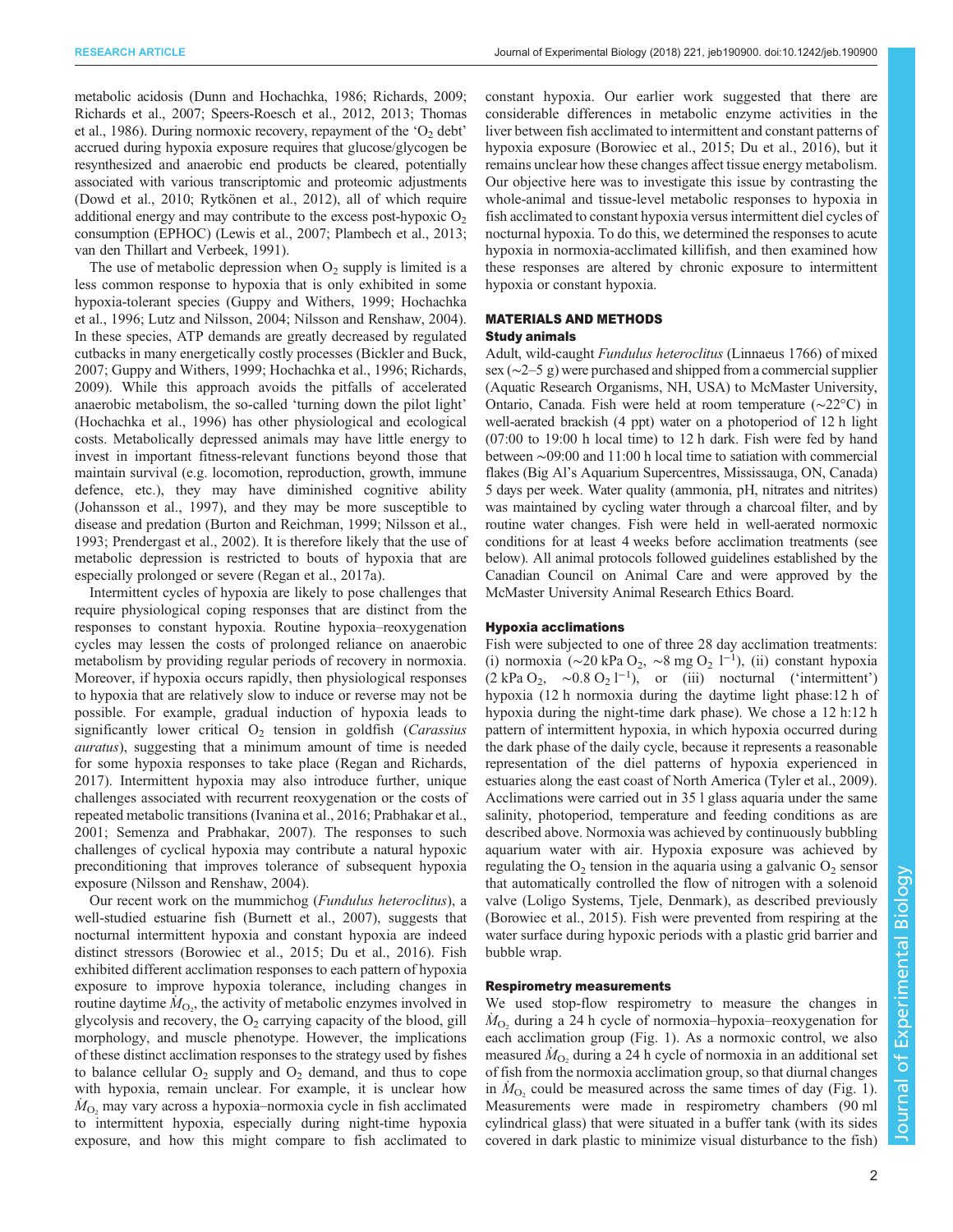metabolic acidosis ([Dunn and Hochachka, 1986](#page-13-0); [Richards, 2009](#page-14-0); [Richards et al., 2007](#page-14-0); [Speers-Roesch et al., 2012, 2013;](#page-14-0) [Thomas](#page-15-0) [et al., 1986](#page-15-0)). During normoxic recovery, repayment of the  $O<sub>2</sub>$  debt' accrued during hypoxia exposure requires that glucose/glycogen be resynthesized and anaerobic end products be cleared, potentially associated with various transcriptomic and proteomic adjustments [\(Dowd et al., 2010](#page-13-0); [Rytkönen et al., 2012](#page-14-0)), all of which require additional energy and may contribute to the excess post-hypoxic  $O<sub>2</sub>$ consumption (EPHOC) ([Lewis et al., 2007; Plambech et al., 2013](#page-14-0); [van den Thillart and Verbeek, 1991\)](#page-15-0).

The use of metabolic depression when  $O_2$  supply is limited is a less common response to hypoxia that is only exhibited in some hypoxia-tolerant species [\(Guppy and Withers, 1999; Hochachka](#page-13-0) [et al., 1996](#page-13-0); [Lutz and Nilsson, 2004; Nilsson and Renshaw, 2004\)](#page-14-0). In these species, ATP demands are greatly decreased by regulated cutbacks in many energetically costly processes ([Bickler and Buck,](#page-13-0) [2007](#page-13-0); [Guppy and Withers, 1999; Hochachka et al., 1996](#page-13-0); [Richards,](#page-14-0) [2009](#page-14-0)). While this approach avoids the pitfalls of accelerated anaerobic metabolism, the so-called 'turning down the pilot light' [\(Hochachka et al., 1996](#page-13-0)) has other physiological and ecological costs. Metabolically depressed animals may have little energy to invest in important fitness-relevant functions beyond those that maintain survival (e.g. locomotion, reproduction, growth, immune defence, etc.), they may have diminished cognitive ability [\(Johansson et al., 1997\)](#page-14-0), and they may be more susceptible to disease and predation [\(Burton and Reichman, 1999](#page-13-0); [Nilsson et al.,](#page-14-0) [1993](#page-14-0); [Prendergast et al., 2002](#page-14-0)). It is therefore likely that the use of metabolic depression is restricted to bouts of hypoxia that are especially prolonged or severe ([Regan et al., 2017a](#page-14-0)).

Intermittent cycles of hypoxia are likely to pose challenges that require physiological coping responses that are distinct from the responses to constant hypoxia. Routine hypoxia–reoxygenation cycles may lessen the costs of prolonged reliance on anaerobic metabolism by providing regular periods of recovery in normoxia. Moreover, if hypoxia occurs rapidly, then physiological responses to hypoxia that are relatively slow to induce or reverse may not be possible. For example, gradual induction of hypoxia leads to significantly lower critical  $O<sub>2</sub>$  tension in goldfish (*Carassius* auratus), suggesting that a minimum amount of time is needed for some hypoxia responses to take place ([Regan and Richards,](#page-14-0) [2017](#page-14-0)). Intermittent hypoxia may also introduce further, unique challenges associated with recurrent reoxygenation or the costs of repeated metabolic transitions [\(Ivanina et al., 2016;](#page-13-0) [Prabhakar et al.,](#page-14-0) [2001](#page-14-0); [Semenza and Prabhakar, 2007\)](#page-14-0). The responses to such challenges of cyclical hypoxia may contribute a natural hypoxic preconditioning that improves tolerance of subsequent hypoxia exposure [\(Nilsson and Renshaw, 2004](#page-14-0)).

Our recent work on the mummichog (Fundulus heteroclitus), a well-studied estuarine fish [\(Burnett et al., 2007](#page-13-0)), suggests that nocturnal intermittent hypoxia and constant hypoxia are indeed distinct stressors ([Borowiec et al., 2015](#page-13-0); [Du et al., 2016\)](#page-13-0). Fish exhibited different acclimation responses to each pattern of hypoxia exposure to improve hypoxia tolerance, including changes in routine daytime  $\hat{M}_{\text{O}_2}$ , the activity of metabolic enzymes involved in glycolysis and recovery, the  $O_2$  carrying capacity of the blood, gill morphology, and muscle phenotype. However, the implications of these distinct acclimation responses to the strategy used by fishes to balance cellular  $O_2$  supply and  $O_2$  demand, and thus to cope with hypoxia, remain unclear. For example, it is unclear how  $\dot{M}_{\text{O}_2}$  may vary across a hypoxia–normoxia cycle in fish acclimated to intermittent hypoxia, especially during night-time hypoxia exposure, and how this might compare to fish acclimated to

constant hypoxia. Our earlier work suggested that there are considerable differences in metabolic enzyme activities in the liver between fish acclimated to intermittent and constant patterns of hypoxia exposure [\(Borowiec et al., 2015; Du et al., 2016\)](#page-13-0), but it remains unclear how these changes affect tissue energy metabolism. Our objective here was to investigate this issue by contrasting the whole-animal and tissue-level metabolic responses to hypoxia in fish acclimated to constant hypoxia versus intermittent diel cycles of nocturnal hypoxia. To do this, we determined the responses to acute hypoxia in normoxia-acclimated killifish, and then examined how these responses are altered by chronic exposure to intermittent hypoxia or constant hypoxia.

## MATERIALS AND METHODS Study animals

Adult, wild-caught Fundulus heteroclitus (Linnaeus 1766) of mixed sex (∼2–5 g) were purchased and shipped from a commercial supplier (Aquatic Research Organisms, NH, USA) to McMaster University, Ontario, Canada. Fish were held at room temperature (∼22°C) in well-aerated brackish (4 ppt) water on a photoperiod of 12 h light (07:00 to 19:00 h local time) to 12 h dark. Fish were fed by hand between ∼09:00 and 11:00 h local time to satiation with commercial flakes (Big Al's Aquarium Supercentres, Mississauga, ON, Canada) 5 days per week. Water quality (ammonia, pH, nitrates and nitrites) was maintained by cycling water through a charcoal filter, and by routine water changes. Fish were held in well-aerated normoxic conditions for at least 4 weeks before acclimation treatments (see below). All animal protocols followed guidelines established by the Canadian Council on Animal Care and were approved by the McMaster University Animal Research Ethics Board.

## Hypoxia acclimations

Fish were subjected to one of three 28 day acclimation treatments: (i) normoxia (∼20 kPa O<sub>2</sub>, ∼8 mg O<sub>2</sub> l<sup>-1</sup>), (ii) constant hypoxia  $(2 \text{ kPa } O_2, \sim 0.8 \text{ O}_2 \text{ l}^{-1}), \text{ or } (\text{iii}) \text{ nocturnal } (\text{'intermittent'})$ hypoxia (12 h normoxia during the daytime light phase:12 h of hypoxia during the night-time dark phase). We chose a 12 h:12 h pattern of intermittent hypoxia, in which hypoxia occurred during the dark phase of the daily cycle, because it represents a reasonable representation of the diel patterns of hypoxia experienced in estuaries along the east coast of North America [\(Tyler et al., 2009\)](#page-15-0). Acclimations were carried out in 35 l glass aquaria under the same salinity, photoperiod, temperature and feeding conditions as are described above. Normoxia was achieved by continuously bubbling aquarium water with air. Hypoxia exposure was achieved by regulating the  $O_2$  tension in the aquaria using a galvanic  $O_2$  sensor that automatically controlled the flow of nitrogen with a solenoid valve (Loligo Systems, Tjele, Denmark), as described previously [\(Borowiec et al., 2015\)](#page-13-0). Fish were prevented from respiring at the water surface during hypoxic periods with a plastic grid barrier and bubble wrap.

## Respirometry measurements

We used stop-flow respirometry to measure the changes in  $\dot{M}_{\text{O}_2}$  during a 24 h cycle of normoxia–hypoxia–reoxygenation for each acclimation group [\(Fig. 1](#page-2-0)). As a normoxic control, we also measured  $\dot{M}_{\text{O}_2}$  during a 24 h cycle of normoxia in an additional set of fish from the normoxia acclimation group, so that diurnal changes in  $\dot{M}_{\text{O}_2}$  could be measured across the same times of day ([Fig. 1\)](#page-2-0). Measurements were made in respirometry chambers (90 ml cylindrical glass) that were situated in a buffer tank (with its sides covered in dark plastic to minimize visual disturbance to the fish)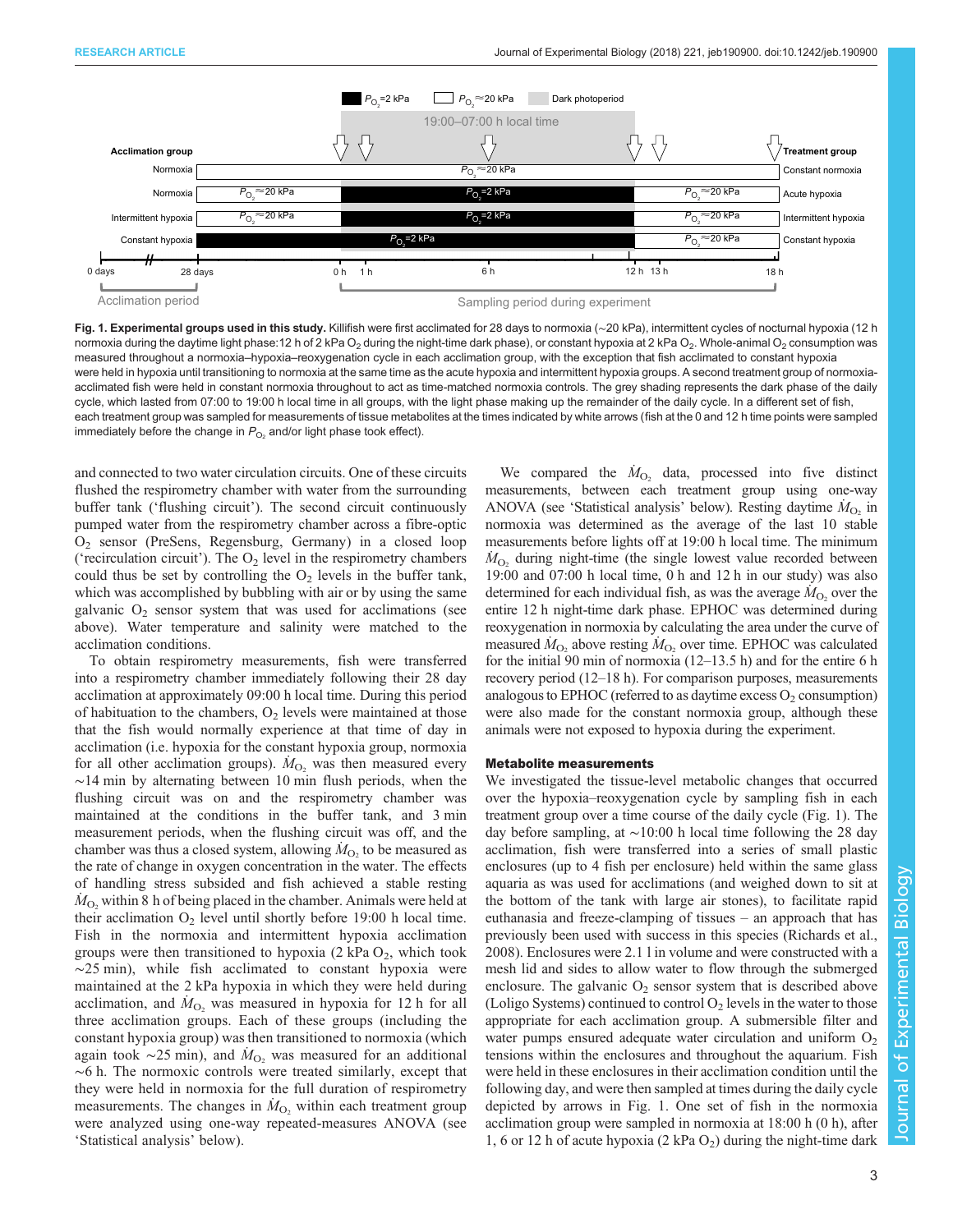<span id="page-2-0"></span>

Fig. 1. Experimental groups used in this study. Killifish were first acclimated for 28 days to normoxia (~20 kPa), intermittent cycles of nocturnal hypoxia (12 h normoxia during the daytime light phase:12 h of 2 kPa O<sub>2</sub> during the night-time dark phase), or constant hypoxia at 2 kPa O<sub>2</sub>. Whole-animal O<sub>2</sub> consumption was measured throughout a normoxia–hypoxia–reoxygenation cycle in each acclimation group, with the exception that fish acclimated to constant hypoxia were held in hypoxia until transitioning to normoxia at the same time as the acute hypoxia and intermittent hypoxia groups. A second treatment group of normoxiaacclimated fish were held in constant normoxia throughout to act as time-matched normoxia controls. The grey shading represents the dark phase of the daily cycle, which lasted from 07:00 to 19:00 h local time in all groups, with the light phase making up the remainder of the daily cycle. In a different set of fish, each treatment group was sampled for measurements of tissue metabolites at the times indicated by white arrows (fish at the 0 and 12 h time points were sampled immediately before the change in  $P_{O_2}$  and/or light phase took effect).

and connected to two water circulation circuits. One of these circuits flushed the respirometry chamber with water from the surrounding buffer tank ('flushing circuit'). The second circuit continuously pumped water from the respirometry chamber across a fibre-optic O2 sensor (PreSens, Regensburg, Germany) in a closed loop ('recirculation circuit'). The  $O_2$  level in the respirometry chambers could thus be set by controlling the  $O_2$  levels in the buffer tank, which was accomplished by bubbling with air or by using the same galvanic  $O_2$  sensor system that was used for acclimations (see above). Water temperature and salinity were matched to the acclimation conditions.

To obtain respirometry measurements, fish were transferred into a respirometry chamber immediately following their 28 day acclimation at approximately 09:00 h local time. During this period of habituation to the chambers,  $O_2$  levels were maintained at those that the fish would normally experience at that time of day in acclimation (i.e. hypoxia for the constant hypoxia group, normoxia for all other acclimation groups).  $\dot{M}_{O_2}$  was then measured every ∼14 min by alternating between 10 min flush periods, when the flushing circuit was on and the respirometry chamber was maintained at the conditions in the buffer tank, and 3 min measurement periods, when the flushing circuit was off, and the chamber was thus a closed system, allowing  $\dot{M}_{O_2}$  to be measured as the rate of change in oxygen concentration in the water. The effects of handling stress subsided and fish achieved a stable resting  $\dot{M}_{\text{O}_2}$  within 8 h of being placed in the chamber. Animals were held at their acclimation  $O_2$  level until shortly before 19:00 h local time. Fish in the normoxia and intermittent hypoxia acclimation groups were then transitioned to hypoxia  $(2 \text{ kPa } O_2)$ , which took ∼25 min), while fish acclimated to constant hypoxia were maintained at the 2 kPa hypoxia in which they were held during acclimation, and  $\dot{M}_{\text{O}_2}$  was measured in hypoxia for 12 h for all three acclimation groups. Each of these groups (including the constant hypoxia group) was then transitioned to normoxia (which again took ~25 min), and  $\dot{M}_{\text{O}_2}$  was measured for an additional  $~\sim$ 6 h. The normoxic controls were treated similarly, except that they were held in normoxia for the full duration of respirometry measurements. The changes in  $\dot{M}_{\text{O}_2}$  within each treatment group were analyzed using one-way repeated-measures ANOVA (see 'Statistical analysis' below).

We compared the  $\dot{M}_{O_2}$  data, processed into five distinct measurements, between each treatment group using one-way ANOVA (see 'Statistical analysis' below). Resting daytime  $\dot{M}_{O_2}$  in normoxia was determined as the average of the last 10 stable measurements before lights off at 19:00 h local time. The minimum  $\dot{M}_{\text{O}_2}$  during night-time (the single lowest value recorded between 19:00 and 07:00 h local time, 0 h and 12 h in our study) was also determined for each individual fish, as was the average  $\dot{M}_{\text{O}_2}$  over the entire 12 h night-time dark phase. EPHOC was determined during reoxygenation in normoxia by calculating the area under the curve of measured  $\dot{M}_{\text{O}_2}$  above resting  $\dot{M}_{\text{O}_2}$  over time. EPHOC was calculated for the initial 90 min of normoxia (12–13.5 h) and for the entire 6 h recovery period (12–18 h). For comparison purposes, measurements analogous to EPHOC (referred to as daytime excess  $O_2$  consumption) were also made for the constant normoxia group, although these animals were not exposed to hypoxia during the experiment.

#### Metabolite measurements

We investigated the tissue-level metabolic changes that occurred over the hypoxia–reoxygenation cycle by sampling fish in each treatment group over a time course of the daily cycle (Fig. 1). The day before sampling, at ∼10:00 h local time following the 28 day acclimation, fish were transferred into a series of small plastic enclosures (up to 4 fish per enclosure) held within the same glass aquaria as was used for acclimations (and weighed down to sit at the bottom of the tank with large air stones), to facilitate rapid euthanasia and freeze-clamping of tissues – an approach that has previously been used with success in this species [\(Richards et al.,](#page-14-0) [2008\)](#page-14-0). Enclosures were 2.1 l in volume and were constructed with a mesh lid and sides to allow water to flow through the submerged enclosure. The galvanic  $O_2$  sensor system that is described above (Loligo Systems) continued to control  $O_2$  levels in the water to those appropriate for each acclimation group. A submersible filter and water pumps ensured adequate water circulation and uniform  $O_2$ tensions within the enclosures and throughout the aquarium. Fish were held in these enclosures in their acclimation condition until the following day, and were then sampled at times during the daily cycle depicted by arrows in Fig. 1. One set of fish in the normoxia acclimation group were sampled in normoxia at 18:00 h (0 h), after 1, 6 or 12 h of acute hypoxia  $(2 \text{ kPa } O_2)$  during the night-time dark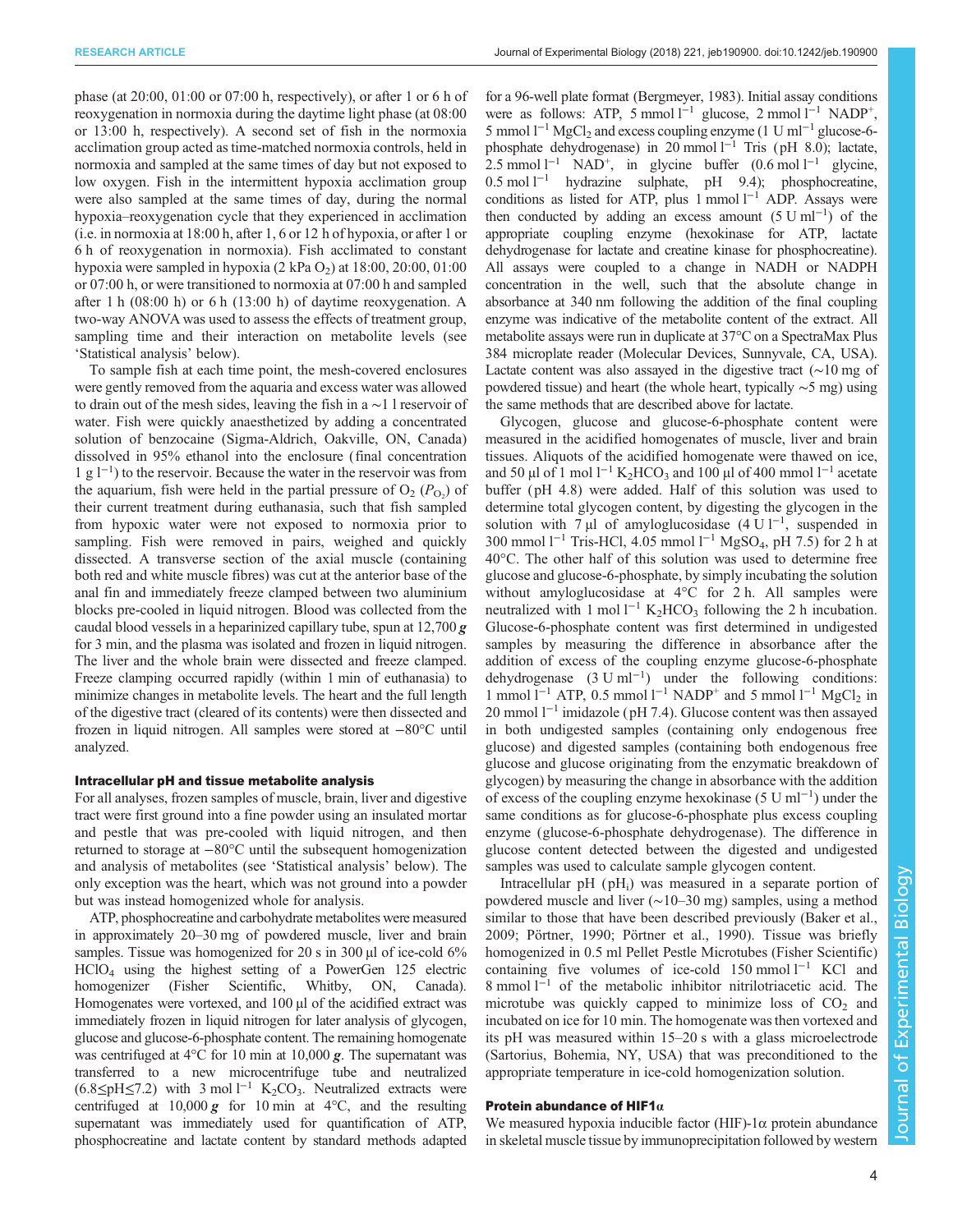phase (at 20:00, 01:00 or 07:00 h, respectively), or after 1 or 6 h of reoxygenation in normoxia during the daytime light phase (at 08:00 or 13:00 h, respectively). A second set of fish in the normoxia acclimation group acted as time-matched normoxia controls, held in normoxia and sampled at the same times of day but not exposed to low oxygen. Fish in the intermittent hypoxia acclimation group were also sampled at the same times of day, during the normal hypoxia–reoxygenation cycle that they experienced in acclimation (i.e. in normoxia at 18:00 h, after 1, 6 or 12 h of hypoxia, or after 1 or 6 h of reoxygenation in normoxia). Fish acclimated to constant hypoxia were sampled in hypoxia  $(2 \text{ kPa O}_2)$  at  $18:00, 20:00, 01:00$ or 07:00 h, or were transitioned to normoxia at 07:00 h and sampled after 1 h  $(08:00 h)$  or 6 h  $(13:00 h)$  of daytime reoxygenation. A two-way ANOVA was used to assess the effects of treatment group, sampling time and their interaction on metabolite levels (see 'Statistical analysis' below).

To sample fish at each time point, the mesh-covered enclosures were gently removed from the aquaria and excess water was allowed to drain out of the mesh sides, leaving the fish in a ∼1 l reservoir of water. Fish were quickly anaesthetized by adding a concentrated solution of benzocaine (Sigma-Aldrich, Oakville, ON, Canada) dissolved in 95% ethanol into the enclosure (final concentration 1gl−<sup>1</sup> ) to the reservoir. Because the water in the reservoir was from the aquarium, fish were held in the partial pressure of  $O_2$  ( $P_{O_2}$ ) of their current treatment during euthanasia, such that fish sampled from hypoxic water were not exposed to normoxia prior to sampling. Fish were removed in pairs, weighed and quickly dissected. A transverse section of the axial muscle (containing both red and white muscle fibres) was cut at the anterior base of the anal fin and immediately freeze clamped between two aluminium blocks pre-cooled in liquid nitrogen. Blood was collected from the caudal blood vessels in a heparinized capillary tube, spun at  $12,700 g$ for 3 min, and the plasma was isolated and frozen in liquid nitrogen. The liver and the whole brain were dissected and freeze clamped. Freeze clamping occurred rapidly (within 1 min of euthanasia) to minimize changes in metabolite levels. The heart and the full length of the digestive tract (cleared of its contents) were then dissected and frozen in liquid nitrogen. All samples were stored at −80°C until analyzed.

### Intracellular pH and tissue metabolite analysis

For all analyses, frozen samples of muscle, brain, liver and digestive tract were first ground into a fine powder using an insulated mortar and pestle that was pre-cooled with liquid nitrogen, and then returned to storage at −80°C until the subsequent homogenization and analysis of metabolites (see 'Statistical analysis' below). The only exception was the heart, which was not ground into a powder but was instead homogenized whole for analysis.

ATP, phosphocreatine and carbohydrate metabolites were measured in approximately 20–30 mg of powdered muscle, liver and brain samples. Tissue was homogenized for 20 s in 300 µl of ice-cold 6% HClO4 using the highest setting of a PowerGen 125 electric homogenizer (Fisher Scientific, Whitby, ON, Canada). Homogenates were vortexed, and 100 µl of the acidified extract was immediately frozen in liquid nitrogen for later analysis of glycogen, glucose and glucose-6-phosphate content. The remaining homogenate was centrifuged at 4<sup>o</sup>C for 10 min at 10,000 **g**. The supernatant was transferred to a new microcentrifuge tube and neutralized  $(6.8 \leq pH \leq 7.2)$  with 3 mol l<sup>-1</sup> K<sub>2</sub>CO<sub>3</sub>. Neutralized extracts were centrifuged at  $10,000 \, \text{g}$  for 10 min at 4°C, and the resulting supernatant was immediately used for quantification of ATP, phosphocreatine and lactate content by standard methods adapted for a 96-well plate format [\(Bergmeyer, 1983](#page-13-0)). Initial assay conditions were as follows: ATP, 5 mmol l<sup>-1</sup> glucose, 2 mmol l<sup>-1</sup> NADP<sup>+</sup>, 5 mmol  $1^{-1}$  MgCl<sub>2</sub> and excess coupling enzyme (1 U ml<sup>-1</sup> glucose-6phosphate dehydrogenase) in 20 mmol l<sup>-1</sup> Tris (pH 8.0); lactate, 2.5 mmol  $1^{-1}$  NAD<sup>+</sup>, in glycine buffer (0.6 mol  $1^{-1}$  glycine, 0.5 mol l−<sup>1</sup> hydrazine sulphate, pH 9.4); phosphocreatine, conditions as listed for ATP, plus 1 mmol l<sup>−1</sup> ADP. Assays were then conducted by adding an excess amount  $(5 \text{ U ml}^{-1})$  of the appropriate coupling enzyme (hexokinase for ATP, lactate dehydrogenase for lactate and creatine kinase for phosphocreatine). All assays were coupled to a change in NADH or NADPH concentration in the well, such that the absolute change in absorbance at 340 nm following the addition of the final coupling enzyme was indicative of the metabolite content of the extract. All metabolite assays were run in duplicate at 37°C on a SpectraMax Plus 384 microplate reader (Molecular Devices, Sunnyvale, CA, USA). Lactate content was also assayed in the digestive tract (∼10 mg of powdered tissue) and heart (the whole heart, typically ∼5 mg) using the same methods that are described above for lactate.

Glycogen, glucose and glucose-6-phosphate content were measured in the acidified homogenates of muscle, liver and brain tissues. Aliquots of the acidified homogenate were thawed on ice, and 50 µl of 1 mol l<sup>-1</sup> K<sub>2</sub>HCO<sub>3</sub> and 100 µl of 400 mmol l<sup>-1</sup> acetate buffer (pH 4.8) were added. Half of this solution was used to determine total glycogen content, by digesting the glycogen in the solution with 7 µl of amyloglucosidase  $(4 U l^{-1})$ , suspended in 300 mmol  $l^{-1}$  Tris-HCl, 4.05 mmol  $l^{-1}$  MgSO<sub>4</sub>, pH 7.5) for 2 h at 40°C. The other half of this solution was used to determine free glucose and glucose-6-phosphate, by simply incubating the solution without amyloglucosidase at 4°C for 2 h. All samples were neutralized with 1 mol l<sup>-1</sup> K<sub>2</sub>HCO<sub>3</sub> following the 2 h incubation. Glucose-6-phosphate content was first determined in undigested samples by measuring the difference in absorbance after the addition of excess of the coupling enzyme glucose-6-phosphate dehydrogenase (3 U ml−<sup>1</sup> ) under the following conditions: 1 mmol  $l^{-1}$  ATP, 0.5 mmol  $l^{-1}$  NADP<sup>+</sup> and 5 mmol  $l^{-1}$  MgCl<sub>2</sub> in 20 mmol l−<sup>1</sup> imidazole ( pH 7.4). Glucose content was then assayed in both undigested samples (containing only endogenous free glucose) and digested samples (containing both endogenous free glucose and glucose originating from the enzymatic breakdown of glycogen) by measuring the change in absorbance with the addition of excess of the coupling enzyme hexokinase (5 U ml−<sup>1</sup> ) under the same conditions as for glucose-6-phosphate plus excess coupling enzyme (glucose-6-phosphate dehydrogenase). The difference in glucose content detected between the digested and undigested samples was used to calculate sample glycogen content.

Intracellular  $pH$  ( $pH_i$ ) was measured in a separate portion of powdered muscle and liver (∼10–30 mg) samples, using a method similar to those that have been described previously ([Baker et al.,](#page-13-0) [2009;](#page-13-0) [Pörtner, 1990; Pörtner et al., 1990\)](#page-14-0). Tissue was briefly homogenized in 0.5 ml Pellet Pestle Microtubes (Fisher Scientific) containing five volumes of ice-cold 150 mmol l−<sup>1</sup> KCl and 8 mmol l−<sup>1</sup> of the metabolic inhibitor nitrilotriacetic acid. The microtube was quickly capped to minimize loss of  $CO<sub>2</sub>$  and incubated on ice for 10 min. The homogenate was then vortexed and its pH was measured within 15–20 s with a glass microelectrode (Sartorius, Bohemia, NY, USA) that was preconditioned to the appropriate temperature in ice-cold homogenization solution.

# Protein abundance of HIF1 $\alpha$

We measured hypoxia inducible factor (HIF)-1 $\alpha$  protein abundance in skeletal muscle tissue by immunoprecipitation followed by western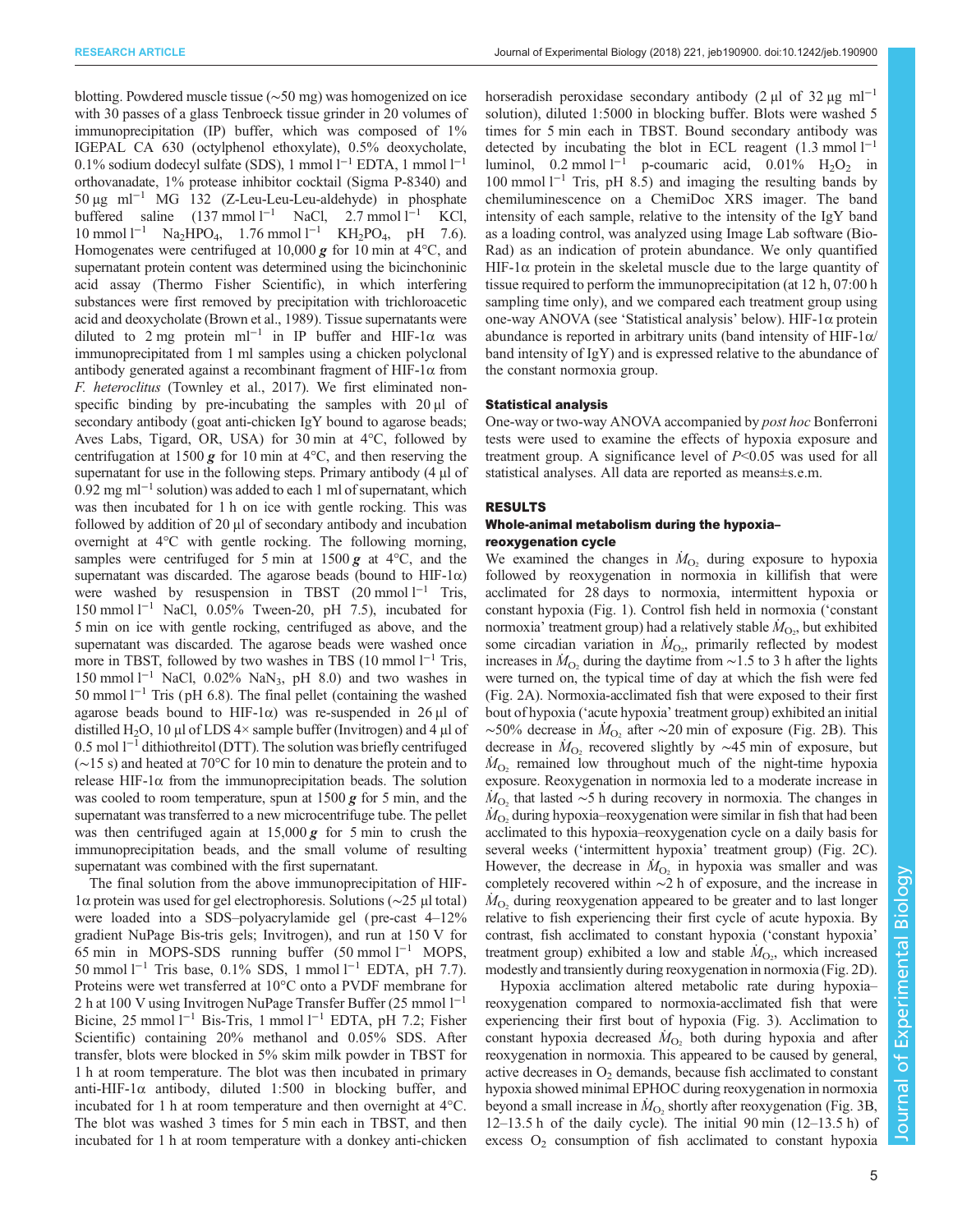RESEARCH ARTICLE **ARTICLE** ARTICLE ARTICLE **Journal of Experimental Biology (2018)** 221, jeb190900. doi:10.1242/jeb.190900

blotting. Powdered muscle tissue (∼50 mg) was homogenized on ice with 30 passes of a glass Tenbroeck tissue grinder in 20 volumes of immunoprecipitation (IP) buffer, which was composed of  $1\%$ IGEPAL CA 630 (octylphenol ethoxylate), 0.5% deoxycholate, 0.1% sodium dodecyl sulfate (SDS), 1 mmol l−<sup>1</sup> EDTA, 1 mmol l−<sup>1</sup> orthovanadate, 1% protease inhibitor cocktail (Sigma P-8340) and 50 µg ml−<sup>1</sup> MG 132 (Z-Leu-Leu-Leu-aldehyde) in phosphate buffered saline  $(137 \text{ mmol } 1^{-1}$  NaCl, 2.7 mmol  $1^{-1}$  KCl,  $10 \text{ mmol } 1^{-1}$  Na<sub>2</sub>HPO<sub>4</sub>, 1.76 mmol  $1^{-1}$  KH<sub>2</sub>PO<sub>4</sub>, pH 7.6). Homogenates were centrifuged at 10,000  $g$  for 10 min at 4°C, and supernatant protein content was determined using the bicinchoninic acid assay (Thermo Fisher Scientific), in which interfering substances were first removed by precipitation with trichloroacetic acid and deoxycholate [\(Brown et al., 1989](#page-13-0)). Tissue supernatants were diluted to 2 mg protein ml<sup>-1</sup> in IP buffer and HIF-1 $\alpha$  was immunoprecipitated from 1 ml samples using a chicken polyclonal antibody generated against a recombinant fragment of HIF-1α from F. heteroclitus [\(Townley et al., 2017\)](#page-15-0). We first eliminated nonspecific binding by pre-incubating the samples with  $20 \mu l$  of secondary antibody (goat anti-chicken IgY bound to agarose beads; Aves Labs, Tigard, OR, USA) for 30 min at 4°C, followed by centrifugation at 1500 g for 10 min at  $4^{\circ}$ C, and then reserving the supernatant for use in the following steps. Primary antibody  $(4 \mu)$  of 0.92 mg ml−<sup>1</sup> solution) was added to each 1 ml of supernatant, which was then incubated for 1 h on ice with gentle rocking. This was followed by addition of 20 µl of secondary antibody and incubation overnight at 4°C with gentle rocking. The following morning, samples were centrifuged for 5 min at  $1500 g$  at  $4^{\circ}$ C, and the supernatant was discarded. The agarose beads (bound to HIF-1 $\alpha$ ) were washed by resuspension in TBST  $(20 \text{ mmol } 1^{-1}$  Tris, 150 mmol l−<sup>1</sup> NaCl, 0.05% Tween-20, pH 7.5), incubated for 5 min on ice with gentle rocking, centrifuged as above, and the supernatant was discarded. The agarose beads were washed once more in TBST, followed by two washes in TBS  $(10 \text{ mmol } 1^{-1} \text{ Tris},$ 150 mmol l−<sup>1</sup> NaCl, 0.02% NaN3, pH 8.0) and two washes in 50 mmol  $1^{-1}$  Tris (pH 6.8). The final pellet (containing the washed agarose beads bound to HIF-1 $\alpha$ ) was re-suspended in 26  $\mu$ l of distilled H<sub>2</sub>O, 10 µl of LDS  $4\times$  sample buffer (Invitrogen) and 4 µl of 0.5 mol  $1^{-1}$  dithiothreitol (DTT). The solution was briefly centrifuged (∼15 s) and heated at 70°C for 10 min to denature the protein and to release HIF-1 $α$  from the immunoprecipitation beads. The solution was cooled to room temperature, spun at  $1500 g$  for 5 min, and the supernatant was transferred to a new microcentrifuge tube. The pellet was then centrifuged again at  $15,000 g$  for 5 min to crush the immunoprecipitation beads, and the small volume of resulting supernatant was combined with the first supernatant.

The final solution from the above immunoprecipitation of HIF-1α protein was used for gel electrophoresis. Solutions (∼25 µl total) were loaded into a SDS–polyacrylamide gel ( pre-cast 4–12% gradient NuPage Bis-tris gels; Invitrogen), and run at 150 V for 65 min in MOPS-SDS running buffer  $(50 \text{ mmol } l^{-1}$  MOPS, 50 mmol l−<sup>1</sup> Tris base, 0.1% SDS, 1 mmol l−<sup>1</sup> EDTA, pH 7.7). Proteins were wet transferred at 10°C onto a PVDF membrane for 2 h at 100 V using Invitrogen NuPage Transfer Buffer (25 mmol l<sup>-1</sup> Bicine, 25 mmol l−<sup>1</sup> Bis-Tris, 1 mmol l−<sup>1</sup> EDTA, pH 7.2; Fisher Scientific) containing 20% methanol and 0.05% SDS. After transfer, blots were blocked in 5% skim milk powder in TBST for 1 h at room temperature. The blot was then incubated in primary anti-HIF-1 $\alpha$  antibody, diluted 1:500 in blocking buffer, and incubated for 1 h at room temperature and then overnight at 4°C. The blot was washed 3 times for 5 min each in TBST, and then incubated for 1 h at room temperature with a donkey anti-chicken

horseradish peroxidase secondary antibody (2 µl of 32 µg ml<sup>-1</sup> solution), diluted 1:5000 in blocking buffer. Blots were washed 5 times for 5 min each in TBST. Bound secondary antibody was detected by incubating the blot in ECL reagent  $(1.3 \text{ mmol } 1^{-1})$ luminol, 0.2 mmol l<sup>−1</sup> p-coumaric acid, 0.01% H<sub>2</sub>O<sub>2</sub> in  $100 \text{ mmol } 1^{-1}$  Tris, pH 8.5) and imaging the resulting bands by chemiluminescence on a ChemiDoc XRS imager. The band intensity of each sample, relative to the intensity of the IgY band as a loading control, was analyzed using Image Lab software (Bio-Rad) as an indication of protein abundance. We only quantified HIF-1 $\alpha$  protein in the skeletal muscle due to the large quantity of tissue required to perform the immunoprecipitation (at 12 h, 07:00 h sampling time only), and we compared each treatment group using one-way ANOVA (see 'Statistical analysis' below). HIF-1α protein abundance is reported in arbitrary units (band intensity of HIF- $1\alpha$ / band intensity of IgY) and is expressed relative to the abundance of the constant normoxia group.

#### Statistical analysis

One-way or two-way ANOVA accompanied by post hoc Bonferroni tests were used to examine the effects of hypoxia exposure and treatment group. A significance level of P<0.05 was used for all statistical analyses. All data are reported as means±s.e.m.

#### RESULTS

## Whole-animal metabolism during the hypoxia– reoxygenation cycle

We examined the changes in  $\dot{M}_{O_2}$  during exposure to hypoxia followed by reoxygenation in normoxia in killifish that were acclimated for 28 days to normoxia, intermittent hypoxia or constant hypoxia [\(Fig. 1\)](#page-2-0). Control fish held in normoxia ('constant normoxia' treatment group) had a relatively stable  $\dot{M}_{\text{O}_2}$ , but exhibited some circadian variation in  $\dot{M}_{\text{O}_2}$ , primarily reflected by modest increases in  $\dot{M}_{\text{O}_2}$  during the daytime from ~1.5 to 3 h after the lights were turned on, the typical time of day at which the fish were fed [\(Fig. 2](#page-5-0)A). Normoxia-acclimated fish that were exposed to their first bout of hypoxia ('acute hypoxia' treatment group) exhibited an initial ~50% decrease in  $\dot{M}_{\text{O}_2}$  after ~20 min of exposure ([Fig. 2](#page-5-0)B). This decrease in  $\dot{M}_{\text{O}_2}$  recovered slightly by ~45 min of exposure, but  $\dot{M}_{\text{O}_2}$  remained low throughout much of the night-time hypoxia exposure. Reoxygenation in normoxia led to a moderate increase in  $\dot{M}_{\text{O}_2}$  that lasted ~5 h during recovery in normoxia. The changes in  $\overline{M_{\text{O}_2}}$  during hypoxia–reoxygenation were similar in fish that had been acclimated to this hypoxia–reoxygenation cycle on a daily basis for several weeks ('intermittent hypoxia' treatment group) ([Fig. 2](#page-5-0)C). However, the decrease in  $\dot{M}_{\text{O}_2}$  in hypoxia was smaller and was completely recovered within ∼2 h of exposure, and the increase in  $\dot{M}_{\text{O}_2}$  during reoxygenation appeared to be greater and to last longer relative to fish experiencing their first cycle of acute hypoxia. By contrast, fish acclimated to constant hypoxia ('constant hypoxia' treatment group) exhibited a low and stable  $\dot{M}_{\text{O}_2}$ , which increased modestly and transiently during reoxygenation in normoxia [\(Fig. 2](#page-5-0)D).

Hypoxia acclimation altered metabolic rate during hypoxia– reoxygenation compared to normoxia-acclimated fish that were experiencing their first bout of hypoxia ([Fig. 3](#page-6-0)). Acclimation to constant hypoxia decreased  $\dot{M}_{O_2}$  both during hypoxia and after reoxygenation in normoxia. This appeared to be caused by general, active decreases in  $O<sub>2</sub>$  demands, because fish acclimated to constant hypoxia showed minimal EPHOC during reoxygenation in normoxia beyond a small increase in  $\dot{M}_{\text{O}_2}$  shortly after reoxygenation ([Fig. 3](#page-6-0)B, 12–13.5 h of the daily cycle). The initial 90 min (12–13.5 h) of excess  $O_2$  consumption of fish acclimated to constant hypoxia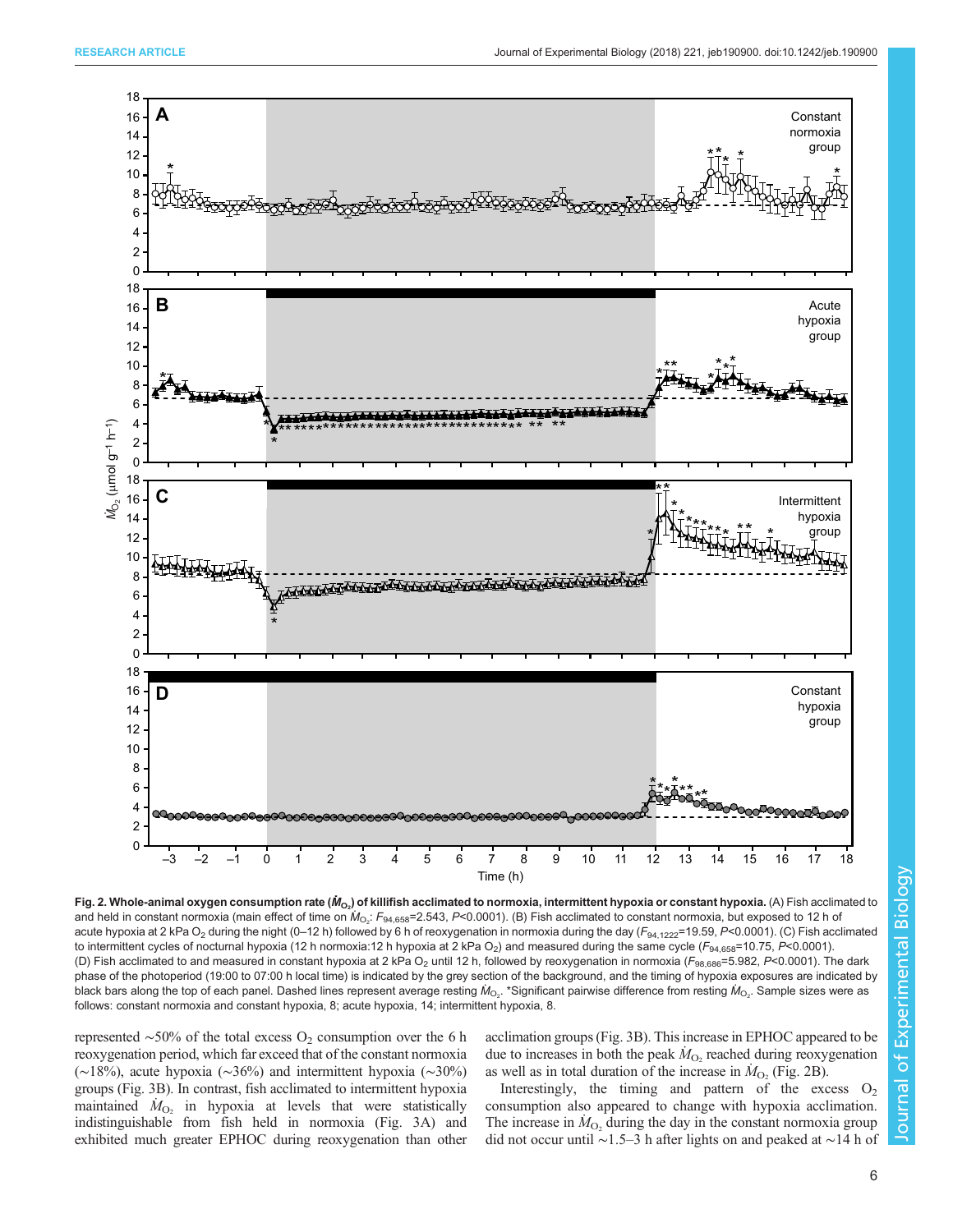<span id="page-5-0"></span>

Fig. 2. Whole-animal oxygen consumption rate ( $\dot{M}_{\rm O_2}$ ) of killifish acclimated to normoxia, intermittent hypoxia or constant hypoxia. (A) Fish acclimated to and held in constant normoxia (main effect of time on  $\dot{M}_{\rm Os}$ :  $F_{94,658}$ =2.543, P<0.0001). (B) Fish acclimated to constant normoxia, but exposed to 12 h of acute hypoxia at 2 kPa O<sub>2</sub> during the night (0–12 h) followed by 6 h of reoxygenation in normoxia during the day ( $F_{94,1222}$ =19.59, P<0.0001). (C) Fish acclimated to intermittent cycles of nocturnal hypoxia (12 h normoxia:12 h hypoxia at 2 kPa O<sub>2</sub>) and measured during the same cycle (F<sub>94,658</sub>=10.75, P<0.0001). (D) Fish acclimated to and measured in constant hypoxia at 2 kPa O<sub>2</sub> until 12 h, followed by reoxygenation in normoxia ( $F_{98,686}$ =5.982, P<0.0001). The dark phase of the photoperiod (19:00 to 07:00 h local time) is indicated by the grey section of the background, and the timing of hypoxia exposures are indicated by black bars along the top of each panel. Dashed lines represent average resting  $\dot M_{\rm O_2}$ . \*Significant pairwise difference from resting  $\dot M_{\rm O_2}$ . Sample sizes were as follows: constant normoxia and constant hypoxia, 8; acute hypoxia, 14; intermittent hypoxia, 8.

represented  $\sim$ 50% of the total excess O<sub>2</sub> consumption over the 6 h reoxygenation period, which far exceed that of the constant normoxia (∼18%), acute hypoxia (∼36%) and intermittent hypoxia (∼30%) groups [\(Fig. 3](#page-6-0)B). In contrast, fish acclimated to intermittent hypoxia maintained  $\dot{M}_{\text{O}_2}$  in hypoxia at levels that were statistically indistinguishable from fish held in normoxia [\(Fig. 3](#page-6-0)A) and exhibited much greater EPHOC during reoxygenation than other

acclimation groups [\(Fig. 3](#page-6-0)B). This increase in EPHOC appeared to be due to increases in both the peak  $\dot{M}_{\text{O}_2}$  reached during reoxygenation as well as in total duration of the increase in  $\dot{M}_{O_2}$  (Fig. 2B).

Interestingly, the timing and pattern of the excess  $O_2$ consumption also appeared to change with hypoxia acclimation. The increase in  $\dot{M}_{\text{O}_2}$  during the day in the constant normoxia group did not occur until ∼1.5–3 h after lights on and peaked at ∼14 h of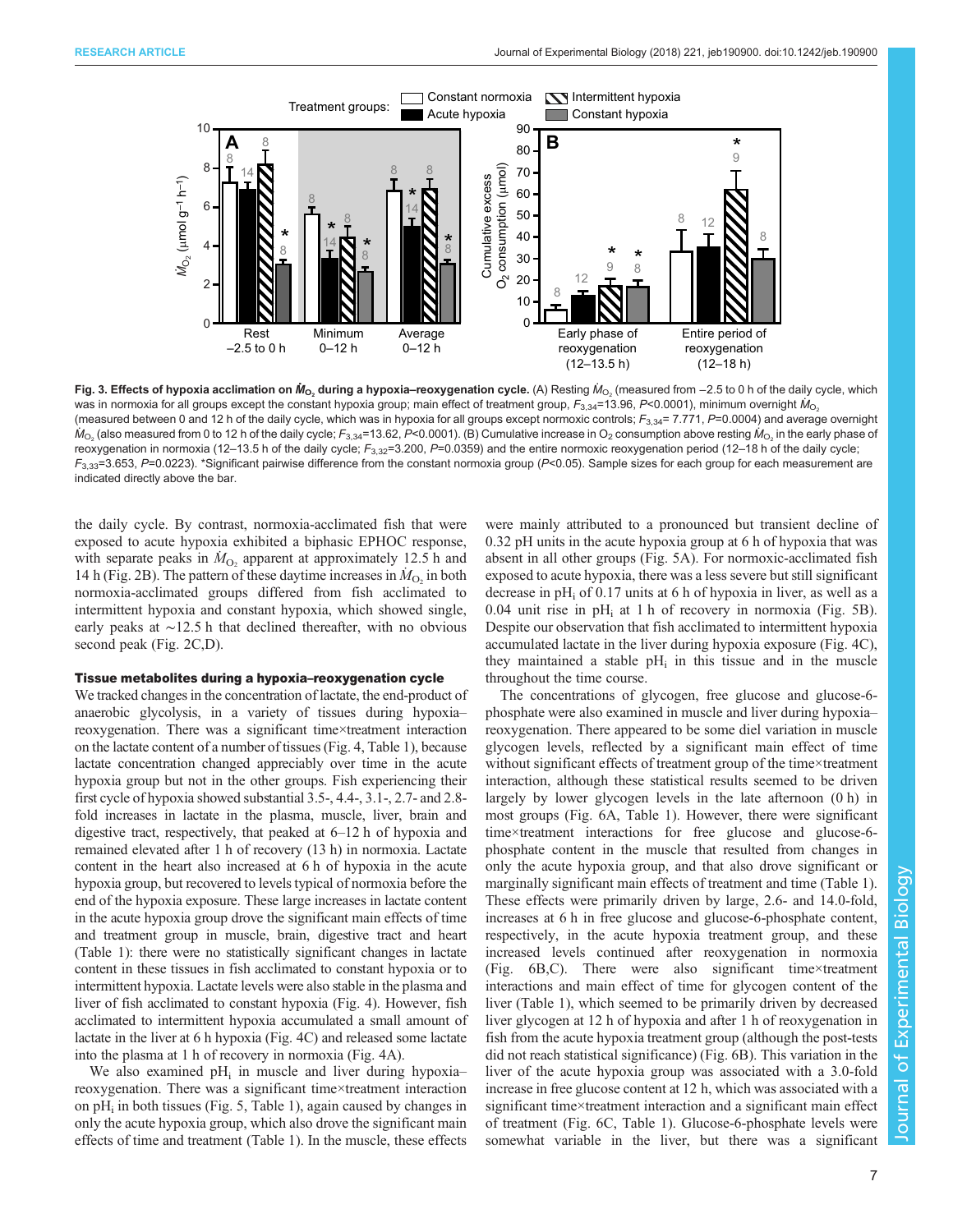<span id="page-6-0"></span>

Fig. 3. Effects of hypoxia acclimation on  $M_{\odot}$ , during a hypoxia–reoxygenation cycle. (A) Resting  $M_{\odot}$ , (measured from −2.5 to 0 h of the daily cycle, which was in normoxia for all groups except the constant hypoxia group; main effect of treatment group,  $F_{3,34}$ =13.96, P<0.0001), minimum overnight  $M_{\rm O_2}$ (measured between 0 and 12 h of the daily cycle, which was in hypoxia for all groups except normoxic controls;  $F_{3,34}$ = 7.771, P=0.0004) and average overnight  $M_{\rm O_2}$  (also measured from 0 to 12 h of the daily cycle;  $F_{3,34}$ =13.62, P<0.0001). (B) Cumulative increase in O<sub>2</sub> consumption above resting  $M_{\rm O_2}$  in the early phase of reoxygenation in normoxia (12–13.5 h of the daily cycle;  $F_{3,32}$ =3.200, P=0.0359) and the entire normoxic reoxygenation period (12–18 h of the daily cycle;  $F_{3,33}$ =3.653, P=0.0223). \*Significant pairwise difference from the constant normoxia group (P<0.05). Sample sizes for each group for each measurement are indicated directly above the bar.

the daily cycle. By contrast, normoxia-acclimated fish that were exposed to acute hypoxia exhibited a biphasic EPHOC response, with separate peaks in  $\dot{M}_{\text{O}_2}$  apparent at approximately 12.5 h and 14 h ([Fig. 2](#page-5-0)B). The pattern of these daytime increases in  $M_{\text{O}_2}$  in both normoxia-acclimated groups differed from fish acclimated to intermittent hypoxia and constant hypoxia, which showed single, early peaks at ∼12.5 h that declined thereafter, with no obvious second peak ([Fig. 2C](#page-5-0),D).

#### Tissue metabolites during a hypoxia–reoxygenation cycle

We tracked changes in the concentration of lactate, the end-product of anaerobic glycolysis, in a variety of tissues during hypoxia– reoxygenation. There was a significant time×treatment interaction on the lactate content of a number of tissues [\(Fig. 4](#page-7-0), [Table 1\)](#page-8-0), because lactate concentration changed appreciably over time in the acute hypoxia group but not in the other groups. Fish experiencing their first cycle of hypoxia showed substantial 3.5-, 4.4-, 3.1-, 2.7- and 2.8 fold increases in lactate in the plasma, muscle, liver, brain and digestive tract, respectively, that peaked at 6–12 h of hypoxia and remained elevated after 1 h of recovery (13 h) in normoxia. Lactate content in the heart also increased at 6 h of hypoxia in the acute hypoxia group, but recovered to levels typical of normoxia before the end of the hypoxia exposure. These large increases in lactate content in the acute hypoxia group drove the significant main effects of time and treatment group in muscle, brain, digestive tract and heart [\(Table 1](#page-8-0)): there were no statistically significant changes in lactate content in these tissues in fish acclimated to constant hypoxia or to intermittent hypoxia. Lactate levels were also stable in the plasma and liver of fish acclimated to constant hypoxia ([Fig. 4](#page-7-0)). However, fish acclimated to intermittent hypoxia accumulated a small amount of lactate in the liver at 6 h hypoxia ([Fig. 4](#page-7-0)C) and released some lactate into the plasma at 1 h of recovery in normoxia [\(Fig. 4](#page-7-0)A).

We also examined  $pH_i$  in muscle and liver during hypoxia– reoxygenation. There was a significant time×treatment interaction on  $pH_i$  in both tissues ([Fig. 5,](#page-9-0) [Table 1\)](#page-8-0), again caused by changes in only the acute hypoxia group, which also drove the significant main effects of time and treatment ([Table 1\)](#page-8-0). In the muscle, these effects

were mainly attributed to a pronounced but transient decline of 0.32 pH units in the acute hypoxia group at 6 h of hypoxia that was absent in all other groups [\(Fig. 5A](#page-9-0)). For normoxic-acclimated fish exposed to acute hypoxia, there was a less severe but still significant decrease in  $pH_i$  of 0.17 units at 6 h of hypoxia in liver, as well as a 0.04 unit rise in  $pH_i$  at 1 h of recovery in normoxia [\(Fig. 5](#page-9-0)B). Despite our observation that fish acclimated to intermittent hypoxia accumulated lactate in the liver during hypoxia exposure [\(Fig. 4](#page-7-0)C), they maintained a stable  $pH_i$  in this tissue and in the muscle throughout the time course.

The concentrations of glycogen, free glucose and glucose-6 phosphate were also examined in muscle and liver during hypoxia– reoxygenation. There appeared to be some diel variation in muscle glycogen levels, reflected by a significant main effect of time without significant effects of treatment group of the time×treatment interaction, although these statistical results seemed to be driven largely by lower glycogen levels in the late afternoon (0 h) in most groups [\(Fig. 6](#page-10-0)A, [Table 1\)](#page-8-0). However, there were significant time×treatment interactions for free glucose and glucose-6 phosphate content in the muscle that resulted from changes in only the acute hypoxia group, and that also drove significant or marginally significant main effects of treatment and time [\(Table 1\)](#page-8-0). These effects were primarily driven by large, 2.6- and 14.0-fold, increases at 6 h in free glucose and glucose-6-phosphate content, respectively, in the acute hypoxia treatment group, and these increased levels continued after reoxygenation in normoxia [\(Fig. 6](#page-10-0)B,C). There were also significant time×treatment interactions and main effect of time for glycogen content of the liver ([Table 1\)](#page-8-0), which seemed to be primarily driven by decreased liver glycogen at 12 h of hypoxia and after 1 h of reoxygenation in fish from the acute hypoxia treatment group (although the post-tests did not reach statistical significance) [\(Fig. 6B](#page-10-0)). This variation in the liver of the acute hypoxia group was associated with a 3.0-fold increase in free glucose content at 12 h, which was associated with a significant time×treatment interaction and a significant main effect of treatment ([Fig. 6C](#page-10-0), [Table 1](#page-8-0)). Glucose-6-phosphate levels were somewhat variable in the liver, but there was a significant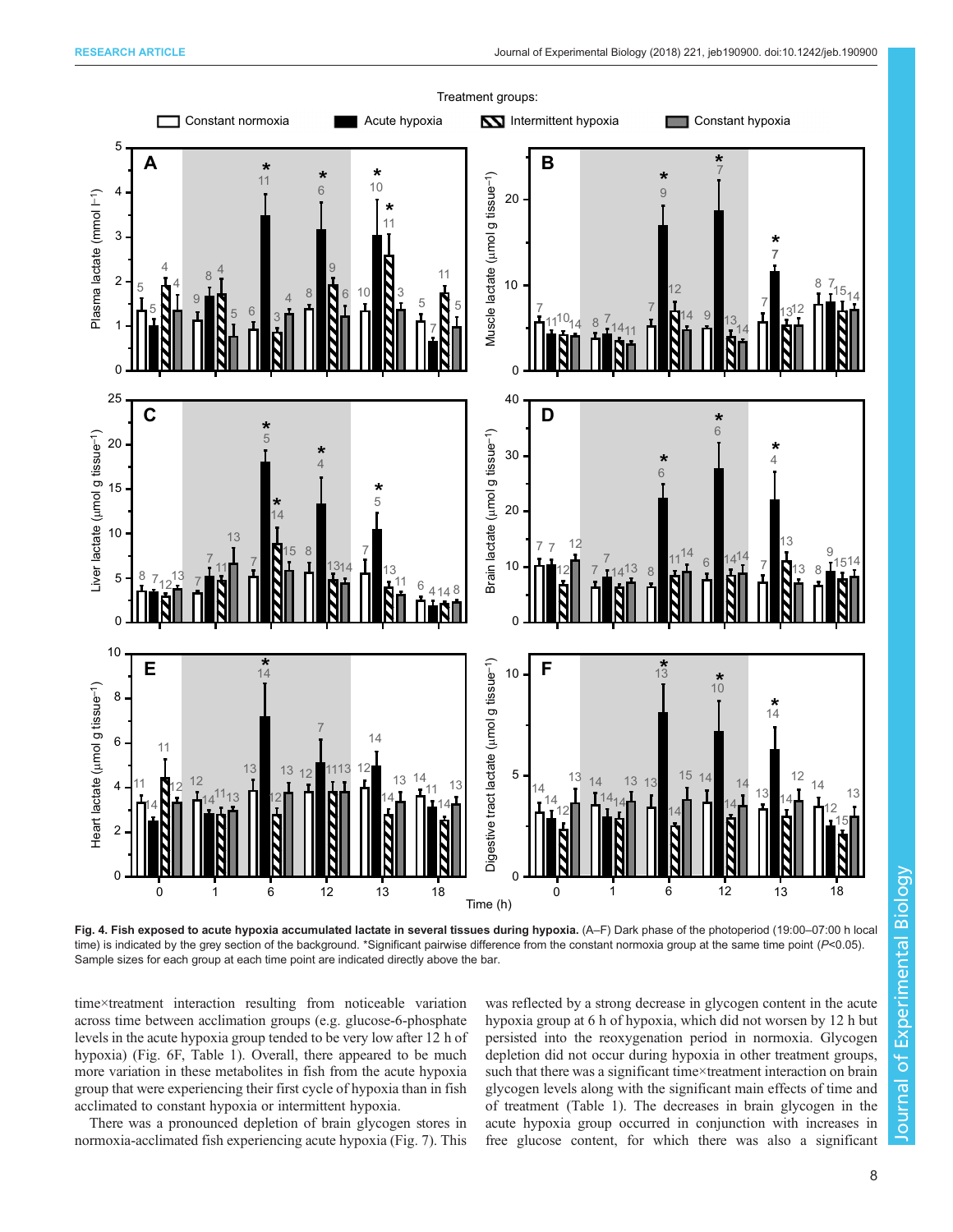<span id="page-7-0"></span>

Fig. 4. Fish exposed to acute hypoxia accumulated lactate in several tissues during hypoxia. (A–F) Dark phase of the photoperiod (19:00–07:00 h local time) is indicated by the grey section of the background. \*Significant pairwise difference from the constant normoxia group at the same time point  $(P<0.05)$ . Sample sizes for each group at each time point are indicated directly above the bar.

time×treatment interaction resulting from noticeable variation across time between acclimation groups (e.g. glucose-6-phosphate levels in the acute hypoxia group tended to be very low after 12 h of hypoxia) [\(Fig. 6F](#page-10-0), [Table 1](#page-8-0)). Overall, there appeared to be much more variation in these metabolites in fish from the acute hypoxia group that were experiencing their first cycle of hypoxia than in fish acclimated to constant hypoxia or intermittent hypoxia.

There was a pronounced depletion of brain glycogen stores in normoxia-acclimated fish experiencing acute hypoxia ([Fig. 7\)](#page-11-0). This was reflected by a strong decrease in glycogen content in the acute hypoxia group at 6 h of hypoxia, which did not worsen by 12 h but persisted into the reoxygenation period in normoxia. Glycogen depletion did not occur during hypoxia in other treatment groups, such that there was a significant time×treatment interaction on brain glycogen levels along with the significant main effects of time and of treatment [\(Table 1](#page-8-0)). The decreases in brain glycogen in the acute hypoxia group occurred in conjunction with increases in free glucose content, for which there was also a significant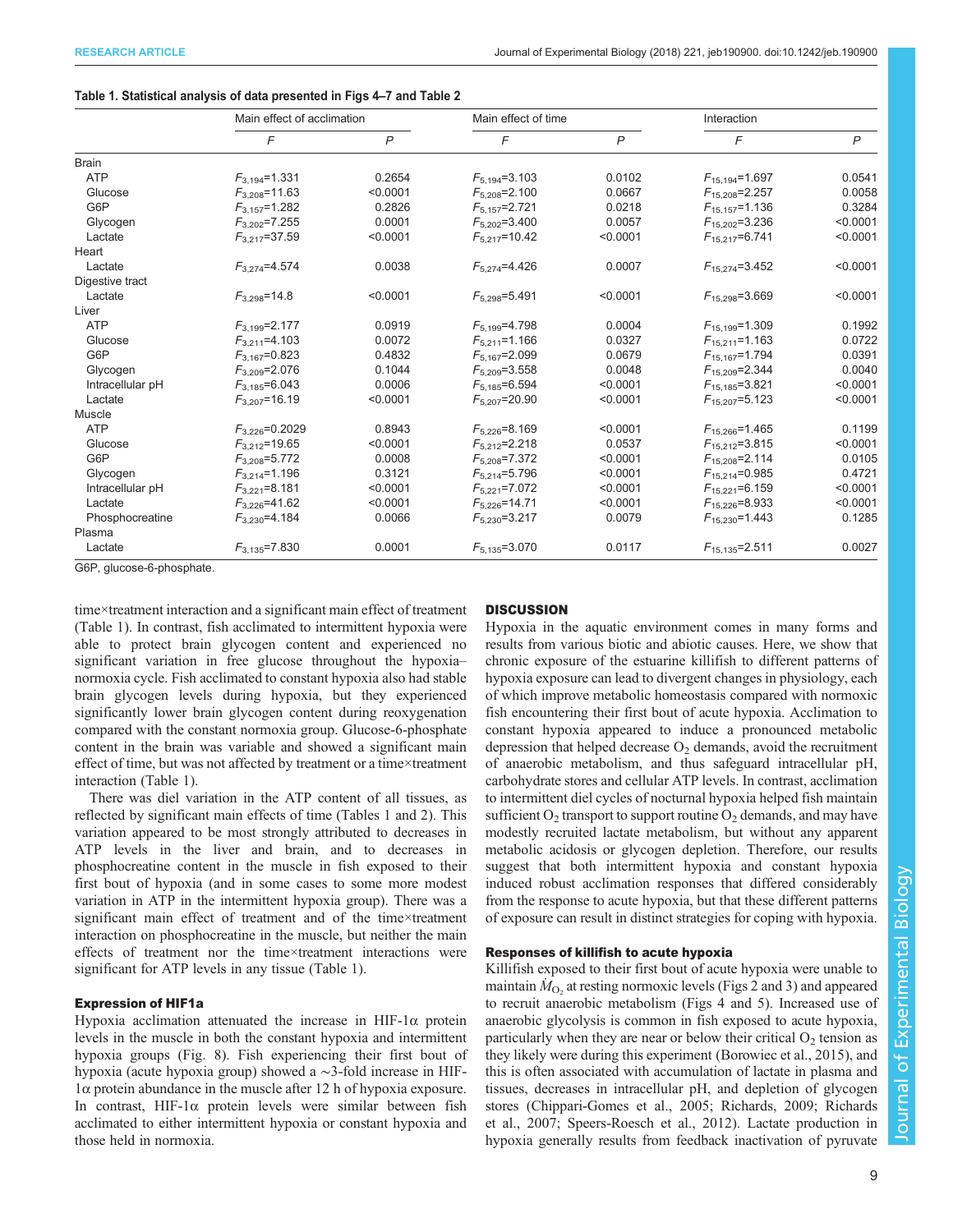## <span id="page-8-0"></span>Table 1. Statistical analysis of data presented in [Figs 4](#page-7-0)–[7](#page-11-0) and [Table 2](#page-12-0)

|                  | Main effect of acclimation |                | Main effect of time |              | Interaction          |                |
|------------------|----------------------------|----------------|---------------------|--------------|----------------------|----------------|
|                  | F                          | $\overline{P}$ | F                   | $\mathsf{P}$ | F                    | $\overline{P}$ |
| <b>Brain</b>     |                            |                |                     |              |                      |                |
| <b>ATP</b>       | $F_{3,194} = 1.331$        | 0.2654         | $F_{5,194} = 3.103$ | 0.0102       | $F_{15,194} = 1.697$ | 0.0541         |
| Glucose          | $F_{3,208} = 11.63$        | < 0.0001       | $F_{5,208} = 2.100$ | 0.0667       | $F_{15,208} = 2.257$ | 0.0058         |
| G6P              | $F_{3,157} = 1.282$        | 0.2826         | $F_{5,157}$ =2.721  | 0.0218       | $F_{15,157} = 1.136$ | 0.3284         |
| Glycogen         | $F_{3,202}$ =7.255         | 0.0001         | $F_{5,202} = 3.400$ | 0.0057       | $F_{15,202} = 3.236$ | < 0.0001       |
| Lactate          | $F_{3,217} = 37.59$        | < 0.0001       | $F_{5,217} = 10.42$ | < 0.0001     | $F_{15,217} = 6.741$ | < 0.0001       |
| Heart            |                            |                |                     |              |                      |                |
| Lactate          | $F_{3,274} = 4.574$        | 0.0038         | $F_{5,274} = 4.426$ | 0.0007       | $F_{15,274} = 3.452$ | < 0.0001       |
| Digestive tract  |                            |                |                     |              |                      |                |
| Lactate          | $F_{3,298} = 14.8$         | < 0.0001       | $F_{5,298} = 5.491$ | < 0.0001     | $F_{15,298} = 3.669$ | < 0.0001       |
| Liver            |                            |                |                     |              |                      |                |
| <b>ATP</b>       | $F_{3,199} = 2.177$        | 0.0919         | $F_{5,199} = 4.798$ | 0.0004       | $F_{15,199} = 1.309$ | 0.1992         |
| Glucose          | $F_{3,211} = 4.103$        | 0.0072         | $F_{5,211} = 1.166$ | 0.0327       | $F_{15,211} = 1.163$ | 0.0722         |
| G6P              | $F_{3,167} = 0.823$        | 0.4832         | $F_{5,167}$ =2.099  | 0.0679       | $F_{15,167} = 1.794$ | 0.0391         |
| Glycogen         | $F_{3,209} = 2.076$        | 0.1044         | $F_{5,209} = 3.558$ | 0.0048       | $F_{15,209} = 2.344$ | 0.0040         |
| Intracellular pH | $F_{3,185} = 6.043$        | 0.0006         | $F_{5,185} = 6.594$ | < 0.0001     | $F_{15,185} = 3.821$ | < 0.0001       |
| Lactate          | $F_{3,207}$ =16.19         | < 0.0001       | $F_{5,207}$ =20.90  | < 0.0001     | $F_{15,207} = 5.123$ | < 0.0001       |
| Muscle           |                            |                |                     |              |                      |                |
| <b>ATP</b>       | $F_{3,226} = 0.2029$       | 0.8943         | $F_{5,226} = 8.169$ | < 0.0001     | $F_{15,266} = 1.465$ | 0.1199         |
| Glucose          | $F_{3,212} = 19.65$        | < 0.0001       | $F_{5,212} = 2.218$ | 0.0537       | $F_{15,212}=3.815$   | < 0.0001       |
| G6P              | $F_{3,208} = 5.772$        | 0.0008         | $F_{5,208} = 7.372$ | < 0.0001     | $F_{15,208} = 2.114$ | 0.0105         |
| Glycogen         | $F_{3,214} = 1.196$        | 0.3121         | $F_{5,214} = 5.796$ | < 0.0001     | $F_{15,214} = 0.985$ | 0.4721         |
| Intracellular pH | $F_{3,221} = 8.181$        | < 0.0001       | $F_{5,221}$ =7.072  | < 0.0001     | $F_{15,221}$ =6.159  | < 0.0001       |
| Lactate          | $F_{3,226} = 41.62$        | < 0.0001       | $F_{5,226}$ =14.71  | < 0.0001     | $F_{15,226} = 8.933$ | < 0.0001       |
| Phosphocreatine  | $F_{3,230}$ =4.184         | 0.0066         | $F_{5,230} = 3.217$ | 0.0079       | $F_{15,230} = 1.443$ | 0.1285         |
| Plasma           |                            |                |                     |              |                      |                |
| Lactate          | $F_{3,135} = 7.830$        | 0.0001         | $F_{5,135} = 3.070$ | 0.0117       | $F_{15,135} = 2.511$ | 0.0027         |

G6P, glucose-6-phosphate.

time×treatment interaction and a significant main effect of treatment (Table 1). In contrast, fish acclimated to intermittent hypoxia were able to protect brain glycogen content and experienced no significant variation in free glucose throughout the hypoxia– normoxia cycle. Fish acclimated to constant hypoxia also had stable brain glycogen levels during hypoxia, but they experienced significantly lower brain glycogen content during reoxygenation compared with the constant normoxia group. Glucose-6-phosphate content in the brain was variable and showed a significant main effect of time, but was not affected by treatment or a time×treatment interaction (Table 1).

There was diel variation in the ATP content of all tissues, as reflected by significant main effects of time (Tables 1 and [2](#page-12-0)). This variation appeared to be most strongly attributed to decreases in ATP levels in the liver and brain, and to decreases in phosphocreatine content in the muscle in fish exposed to their first bout of hypoxia (and in some cases to some more modest variation in ATP in the intermittent hypoxia group). There was a significant main effect of treatment and of the time×treatment interaction on phosphocreatine in the muscle, but neither the main effects of treatment nor the time×treatment interactions were significant for ATP levels in any tissue (Table 1).

## Expression of HIF1a

Hypoxia acclimation attenuated the increase in HIF-1α protein levels in the muscle in both the constant hypoxia and intermittent hypoxia groups [\(Fig. 8](#page-12-0)). Fish experiencing their first bout of hypoxia (acute hypoxia group) showed a ∼3-fold increase in HIF-1α protein abundance in the muscle after 12 h of hypoxia exposure. In contrast, HIF-1α protein levels were similar between fish acclimated to either intermittent hypoxia or constant hypoxia and those held in normoxia.

# **DISCUSSION**

Hypoxia in the aquatic environment comes in many forms and results from various biotic and abiotic causes. Here, we show that chronic exposure of the estuarine killifish to different patterns of hypoxia exposure can lead to divergent changes in physiology, each of which improve metabolic homeostasis compared with normoxic fish encountering their first bout of acute hypoxia. Acclimation to constant hypoxia appeared to induce a pronounced metabolic depression that helped decrease  $O<sub>2</sub>$  demands, avoid the recruitment of anaerobic metabolism, and thus safeguard intracellular pH, carbohydrate stores and cellular ATP levels. In contrast, acclimation to intermittent diel cycles of nocturnal hypoxia helped fish maintain sufficient  $O_2$  transport to support routine  $O_2$  demands, and may have modestly recruited lactate metabolism, but without any apparent metabolic acidosis or glycogen depletion. Therefore, our results suggest that both intermittent hypoxia and constant hypoxia induced robust acclimation responses that differed considerably from the response to acute hypoxia, but that these different patterns of exposure can result in distinct strategies for coping with hypoxia.

## Responses of killifish to acute hypoxia

Killifish exposed to their first bout of acute hypoxia were unable to maintain  $\dot{M}_{\rm O_2}$  at resting normoxic levels [\(Figs 2](#page-5-0) and [3\)](#page-6-0) and appeared to recruit anaerobic metabolism [\(Figs 4](#page-7-0) and [5\)](#page-9-0). Increased use of anaerobic glycolysis is common in fish exposed to acute hypoxia, particularly when they are near or below their critical  $O_2$  tension as they likely were during this experiment [\(Borowiec et al., 2015\)](#page-13-0), and this is often associated with accumulation of lactate in plasma and tissues, decreases in intracellular pH, and depletion of glycogen stores [\(Chippari-Gomes et al., 2005;](#page-13-0) [Richards, 2009](#page-14-0); [Richards](#page-14-0) [et al., 2007; Speers-Roesch et al., 2012](#page-14-0)). Lactate production in hypoxia generally results from feedback inactivation of pyruvate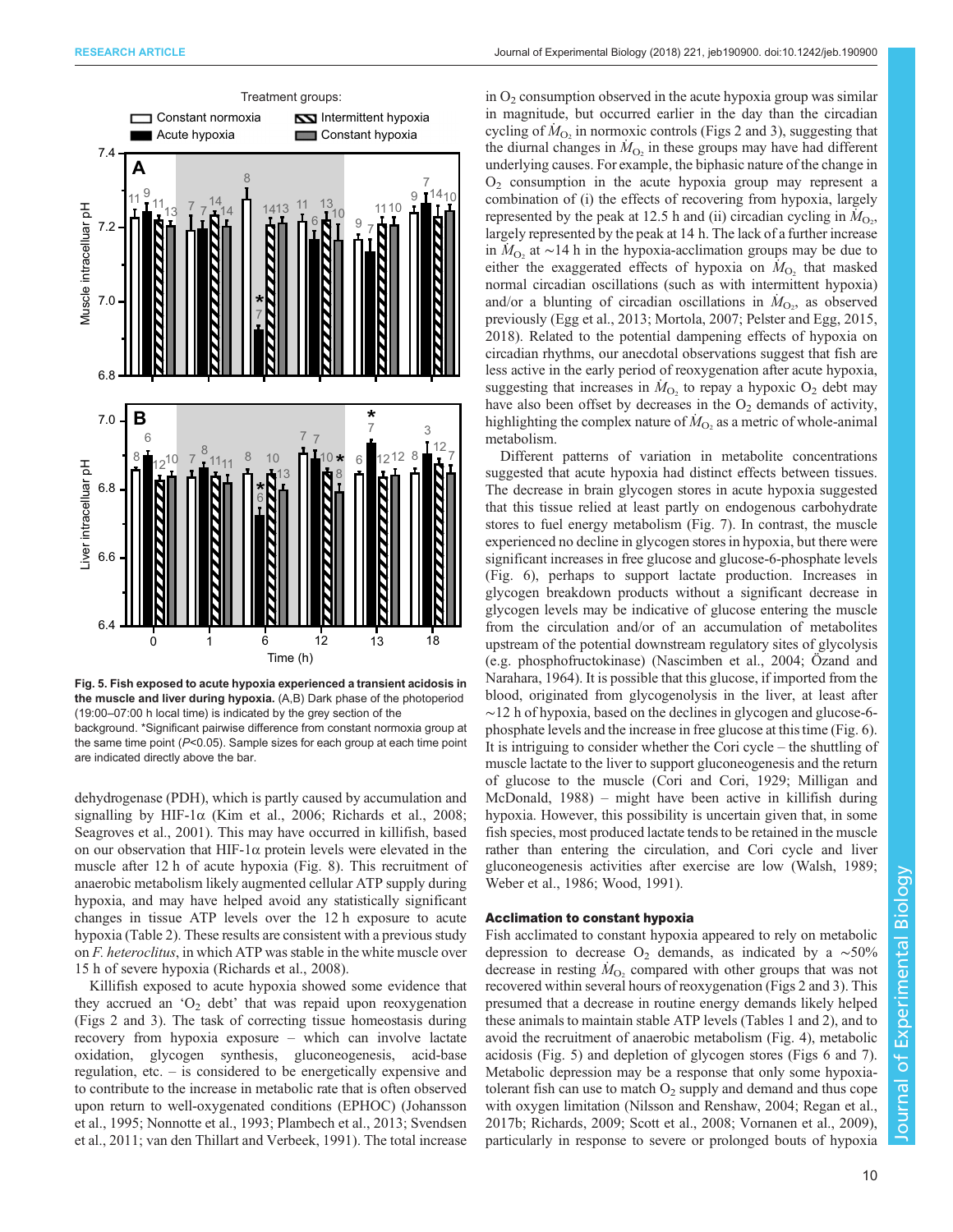<span id="page-9-0"></span>

Fig. 5. Fish exposed to acute hypoxia experienced a transient acidosis in the muscle and liver during hypoxia. (A,B) Dark phase of the photoperiod (19:00–07:00 h local time) is indicated by the grey section of the background. \*Significant pairwise difference from constant normoxia group at the same time point  $(P<0.05)$ . Sample sizes for each group at each time point are indicated directly above the bar.

dehydrogenase (PDH), which is partly caused by accumulation and signalling by HIF-1 $\alpha$  [\(Kim et al., 2006; Richards et al., 2008](#page-14-0); [Seagroves et al., 2001\)](#page-14-0). This may have occurred in killifish, based on our observation that HIF-1 $\alpha$  protein levels were elevated in the muscle after 12 h of acute hypoxia [\(Fig. 8\)](#page-12-0). This recruitment of anaerobic metabolism likely augmented cellular ATP supply during hypoxia, and may have helped avoid any statistically significant changes in tissue ATP levels over the 12 h exposure to acute hypoxia [\(Table 2](#page-12-0)). These results are consistent with a previous study on F. heteroclitus, in which ATP was stable in the white muscle over 15 h of severe hypoxia [\(Richards et al., 2008](#page-14-0)).

Killifish exposed to acute hypoxia showed some evidence that they accrued an ' $O_2$  debt' that was repaid upon reoxygenation [\(Figs 2](#page-5-0) and [3\)](#page-6-0). The task of correcting tissue homeostasis during recovery from hypoxia exposure – which can involve lactate oxidation, glycogen synthesis, gluconeogenesis, acid-base regulation, etc. – is considered to be energetically expensive and to contribute to the increase in metabolic rate that is often observed upon return to well-oxygenated conditions (EPHOC) [\(Johansson](#page-13-0) [et al., 1995;](#page-13-0) [Nonnotte et al., 1993](#page-14-0); [Plambech et al., 2013](#page-14-0); [Svendsen](#page-15-0) [et al., 2011](#page-15-0); [van den Thillart and Verbeek, 1991\)](#page-15-0). The total increase

in  $O<sub>2</sub>$  consumption observed in the acute hypoxia group was similar in magnitude, but occurred earlier in the day than the circadian cycling of  $\dot{M}_{\text{O}_2}$  in normoxic controls [\(Figs 2](#page-5-0) and [3\)](#page-6-0), suggesting that the diurnal changes in  $\dot{M}_{\text{O}_2}$  in these groups may have had different underlying causes. For example, the biphasic nature of the change in  $O<sub>2</sub>$  consumption in the acute hypoxia group may represent a combination of (i) the effects of recovering from hypoxia, largely represented by the peak at 12.5 h and (ii) circadian cycling in  $\tilde{M}_{\text{O}_2}$ , largely represented by the peak at 14 h. The lack of a further increase in  $M_{\text{O}_2}$  at ~14 h in the hypoxia-acclimation groups may be due to either the exaggerated effects of hypoxia on  $\hat{M}_{O_2}$  that masked normal circadian oscillations (such as with intermittent hypoxia) and/or a blunting of circadian oscillations in  $\dot{M}_{\text{O}_2}$ , as observed previously ([Egg et al., 2013](#page-13-0); [Mortola, 2007; Pelster and Egg, 2015,](#page-14-0) [2018\)](#page-14-0). Related to the potential dampening effects of hypoxia on circadian rhythms, our anecdotal observations suggest that fish are less active in the early period of reoxygenation after acute hypoxia, suggesting that increases in  $\dot{M}_{\text{O}_2}$  to repay a hypoxic O<sub>2</sub> debt may have also been offset by decreases in the  $O<sub>2</sub>$  demands of activity, highlighting the complex nature of  $\dot{M}_{\text{O}_2}$  as a metric of whole-animal metabolism.

Different patterns of variation in metabolite concentrations suggested that acute hypoxia had distinct effects between tissues. The decrease in brain glycogen stores in acute hypoxia suggested that this tissue relied at least partly on endogenous carbohydrate stores to fuel energy metabolism [\(Fig. 7\)](#page-11-0). In contrast, the muscle experienced no decline in glycogen stores in hypoxia, but there were significant increases in free glucose and glucose-6-phosphate levels [\(Fig. 6\)](#page-10-0), perhaps to support lactate production. Increases in glycogen breakdown products without a significant decrease in glycogen levels may be indicative of glucose entering the muscle from the circulation and/or of an accumulation of metabolites upstream of the potential downstream regulatory sites of glycolysis (e.g. phosphofructokinase) [\(Nascimben et al., 2004; Özand and](#page-14-0) [Narahara, 1964](#page-14-0)). It is possible that this glucose, if imported from the blood, originated from glycogenolysis in the liver, at least after ∼12 h of hypoxia, based on the declines in glycogen and glucose-6 phosphate levels and the increase in free glucose at this time [\(Fig. 6\)](#page-10-0). It is intriguing to consider whether the Cori cycle – the shuttling of muscle lactate to the liver to support gluconeogenesis and the return of glucose to the muscle [\(Cori and Cori, 1929](#page-13-0); [Milligan and](#page-14-0) [McDonald, 1988](#page-14-0)) – might have been active in killifish during hypoxia. However, this possibility is uncertain given that, in some fish species, most produced lactate tends to be retained in the muscle rather than entering the circulation, and Cori cycle and liver gluconeogenesis activities after exercise are low ([Walsh, 1989](#page-15-0); [Weber et al., 1986; Wood, 1991\)](#page-15-0).

### Acclimation to constant hypoxia

Fish acclimated to constant hypoxia appeared to rely on metabolic depression to decrease O<sub>2</sub> demands, as indicated by a  $~\sim 50\%$ decrease in resting  $\dot{M}_{\text{O}_2}$  compared with other groups that was not recovered within several hours of reoxygenation [\(Figs 2](#page-5-0) and [3\)](#page-6-0). This presumed that a decrease in routine energy demands likely helped these animals to maintain stable ATP levels [\(Tables 1](#page-8-0) and [2](#page-12-0)), and to avoid the recruitment of anaerobic metabolism ([Fig. 4\)](#page-7-0), metabolic acidosis (Fig. 5) and depletion of glycogen stores [\(Figs 6](#page-10-0) and [7\)](#page-11-0). Metabolic depression may be a response that only some hypoxiatolerant fish can use to match  $O_2$  supply and demand and thus cope with oxygen limitation [\(Nilsson and Renshaw, 2004; Regan et al.,](#page-14-0) [2017b; Richards, 2009](#page-14-0); [Scott et al., 2008;](#page-14-0) [Vornanen et al., 2009\)](#page-15-0), particularly in response to severe or prolonged bouts of hypoxia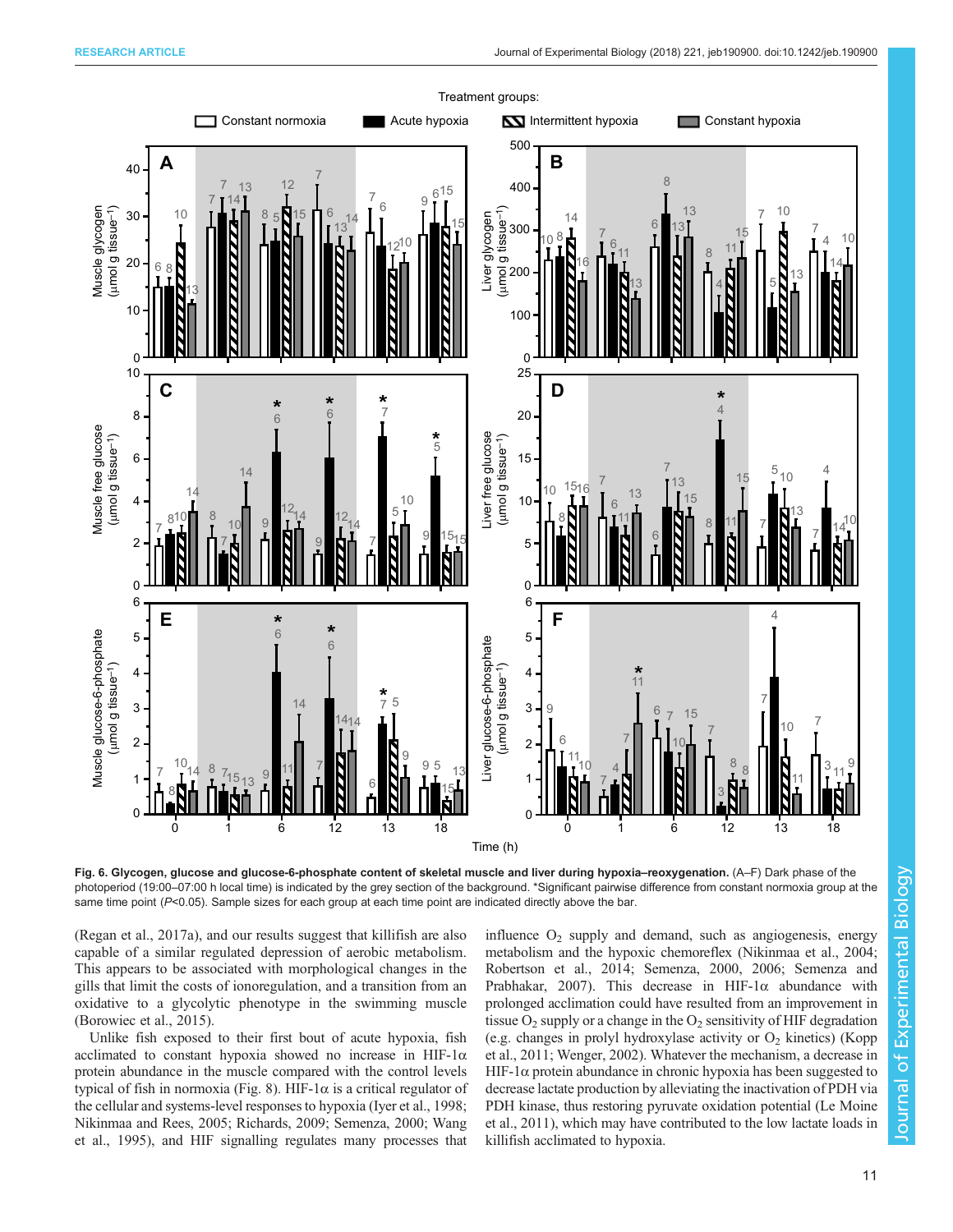<span id="page-10-0"></span>

Fig. 6. Glycogen, glucose and glucose-6-phosphate content of skeletal muscle and liver during hypoxia-reoxygenation. (A-F) Dark phase of the photoperiod (19:00–07:00 h local time) is indicated by the grey section of the background. \*Significant pairwise difference from constant normoxia group at the same time point  $(P<0.05)$ . Sample sizes for each group at each time point are indicated directly above the bar.

[\(Regan et al., 2017a\)](#page-14-0), and our results suggest that killifish are also capable of a similar regulated depression of aerobic metabolism. This appears to be associated with morphological changes in the gills that limit the costs of ionoregulation, and a transition from an oxidative to a glycolytic phenotype in the swimming muscle [\(Borowiec et al., 2015\)](#page-13-0).

Unlike fish exposed to their first bout of acute hypoxia, fish acclimated to constant hypoxia showed no increase in HIF-1 $\alpha$ protein abundance in the muscle compared with the control levels typical of fish in normoxia [\(Fig. 8](#page-12-0)). HIF-1α is a critical regulator of the cellular and systems-level responses to hypoxia [\(Iyer et al., 1998](#page-13-0); [Nikinmaa and Rees, 2005](#page-14-0); [Richards, 2009](#page-14-0); [Semenza, 2000](#page-14-0); [Wang](#page-15-0) [et al., 1995](#page-15-0)), and HIF signalling regulates many processes that

influence  $O_2$  supply and demand, such as angiogenesis, energy metabolism and the hypoxic chemoreflex [\(Nikinmaa et al., 2004](#page-14-0); [Robertson et al., 2014](#page-14-0); [Semenza, 2000, 2006](#page-14-0); [Semenza and](#page-14-0) [Prabhakar, 2007](#page-14-0)). This decrease in HIF-1 $\alpha$  abundance with prolonged acclimation could have resulted from an improvement in tissue  $O_2$  supply or a change in the  $O_2$  sensitivity of HIF degradation (e.g. changes in prolyl hydroxylase activity or  $O_2$  kinetics) [\(Kopp](#page-14-0) [et al., 2011](#page-14-0); [Wenger, 2002](#page-15-0)). Whatever the mechanism, a decrease in HIF-1 $\alpha$  protein abundance in chronic hypoxia has been suggested to decrease lactate production by alleviating the inactivation of PDH via PDH kinase, thus restoring pyruvate oxidation potential [\(Le Moine](#page-14-0) [et al., 2011\)](#page-14-0), which may have contributed to the low lactate loads in killifish acclimated to hypoxia.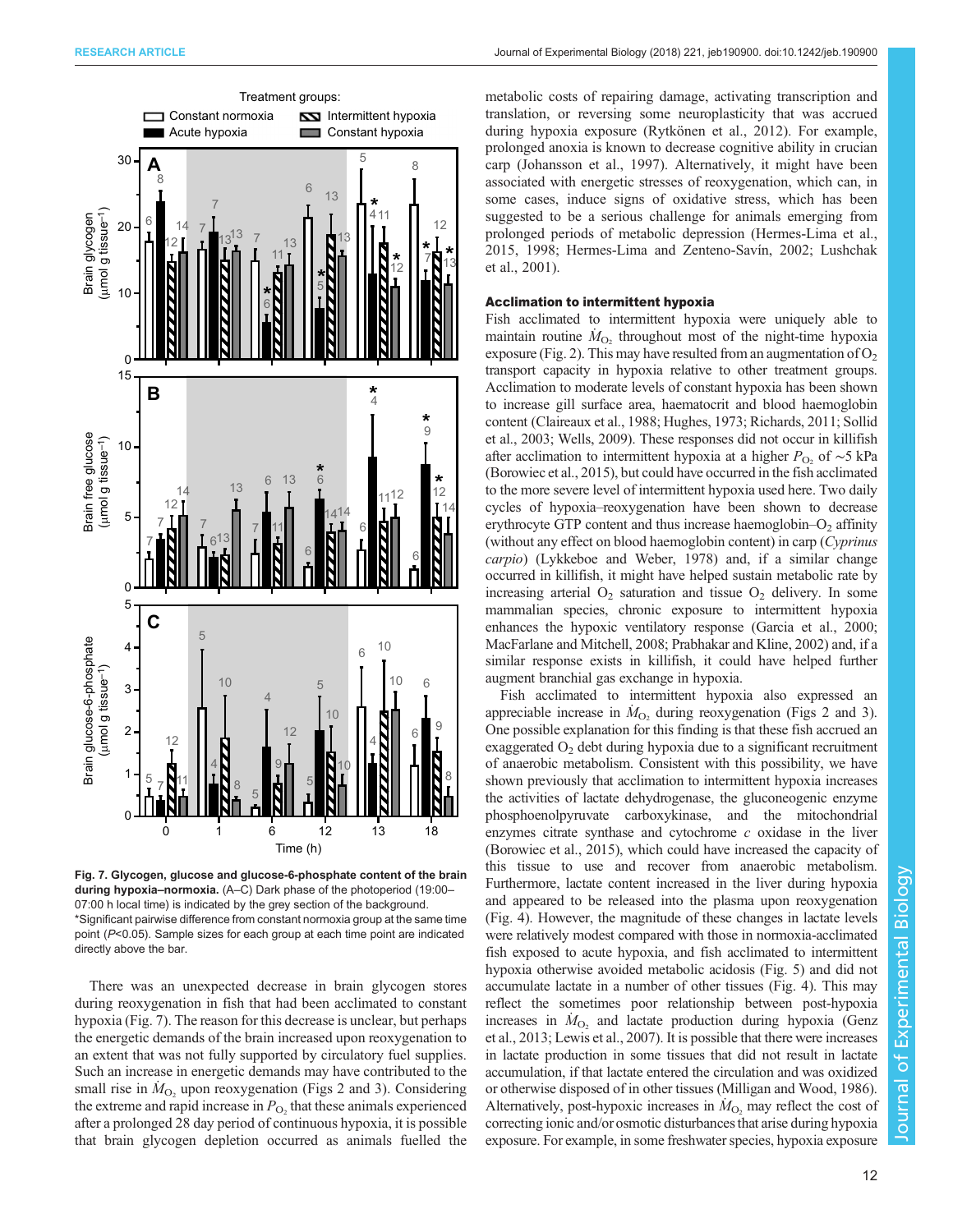<span id="page-11-0"></span>

Fig. 7. Glycogen, glucose and glucose-6-phosphate content of the brain during hypoxia–normoxia. (A–C) Dark phase of the photoperiod (19:00– 07:00 h local time) is indicated by the grey section of the background. \*Significant pairwise difference from constant normoxia group at the same time point (P<0.05). Sample sizes for each group at each time point are indicated directly above the bar.

There was an unexpected decrease in brain glycogen stores during reoxygenation in fish that had been acclimated to constant hypoxia (Fig. 7). The reason for this decrease is unclear, but perhaps the energetic demands of the brain increased upon reoxygenation to an extent that was not fully supported by circulatory fuel supplies. Such an increase in energetic demands may have contributed to the small rise in  $\dot{M}_{\text{O}_2}$  upon reoxygenation ([Figs 2](#page-5-0) and [3\)](#page-6-0). Considering the extreme and rapid increase in  $P_{\text{O}_2}$  that these animals experienced after a prolonged 28 day period of continuous hypoxia, it is possible that brain glycogen depletion occurred as animals fuelled the metabolic costs of repairing damage, activating transcription and translation, or reversing some neuroplasticity that was accrued during hypoxia exposure ([Rytkönen et al., 2012](#page-14-0)). For example, prolonged anoxia is known to decrease cognitive ability in crucian carp [\(Johansson et al., 1997](#page-14-0)). Alternatively, it might have been associated with energetic stresses of reoxygenation, which can, in some cases, induce signs of oxidative stress, which has been suggested to be a serious challenge for animals emerging from prolonged periods of metabolic depression ([Hermes-Lima et al.,](#page-13-0) [2015, 1998; Hermes-Lima and Zenteno-Savín, 2002](#page-13-0); [Lushchak](#page-14-0) [et al., 2001\)](#page-14-0).

### Acclimation to intermittent hypoxia

Fish acclimated to intermittent hypoxia were uniquely able to maintain routine  $\dot{M}_{\text{O}_2}$  throughout most of the night-time hypoxia exposure ([Fig. 2\)](#page-5-0). This may have resulted from an augmentation of  $O<sub>2</sub>$ transport capacity in hypoxia relative to other treatment groups. Acclimation to moderate levels of constant hypoxia has been shown to increase gill surface area, haematocrit and blood haemoglobin content [\(Claireaux et al., 1988](#page-13-0); [Hughes, 1973;](#page-13-0) [Richards, 2011; Sollid](#page-14-0) [et al., 2003;](#page-14-0) [Wells, 2009](#page-15-0)). These responses did not occur in killifish after acclimation to intermittent hypoxia at a higher  $P_{\text{O}_2}$  of ~5 kPa [\(Borowiec et al., 2015](#page-13-0)), but could have occurred in the fish acclimated to the more severe level of intermittent hypoxia used here. Two daily cycles of hypoxia–reoxygenation have been shown to decrease erythrocyte GTP content and thus increase haemoglobin– $O_2$  affinity (without any effect on blood haemoglobin content) in carp (Cyprinus carpio) [\(Lykkeboe and Weber, 1978](#page-14-0)) and, if a similar change occurred in killifish, it might have helped sustain metabolic rate by increasing arterial  $O_2$  saturation and tissue  $O_2$  delivery. In some mammalian species, chronic exposure to intermittent hypoxia enhances the hypoxic ventilatory response [\(Garcia et al., 2000](#page-13-0); [MacFarlane and Mitchell, 2008](#page-14-0); [Prabhakar and Kline, 2002\)](#page-14-0) and, if a similar response exists in killifish, it could have helped further augment branchial gas exchange in hypoxia.

Fish acclimated to intermittent hypoxia also expressed an appreciable increase in  $\dot{M}_{\text{O}_2}$  during reoxygenation ([Figs 2](#page-5-0) and [3\)](#page-6-0). One possible explanation for this finding is that these fish accrued an exaggerated  $O<sub>2</sub>$  debt during hypoxia due to a significant recruitment of anaerobic metabolism. Consistent with this possibility, we have shown previously that acclimation to intermittent hypoxia increases the activities of lactate dehydrogenase, the gluconeogenic enzyme phosphoenolpyruvate carboxykinase, and the mitochondrial enzymes citrate synthase and cytochrome  $c$  oxidase in the liver [\(Borowiec et al., 2015](#page-13-0)), which could have increased the capacity of this tissue to use and recover from anaerobic metabolism. Furthermore, lactate content increased in the liver during hypoxia and appeared to be released into the plasma upon reoxygenation [\(Fig. 4](#page-7-0)). However, the magnitude of these changes in lactate levels were relatively modest compared with those in normoxia-acclimated fish exposed to acute hypoxia, and fish acclimated to intermittent hypoxia otherwise avoided metabolic acidosis [\(Fig. 5](#page-9-0)) and did not accumulate lactate in a number of other tissues [\(Fig. 4\)](#page-7-0). This may reflect the sometimes poor relationship between post-hypoxia increases in  $\dot{M}_{\text{O}_2}$  and lactate production during hypoxia [\(Genz](#page-13-0) [et al., 2013](#page-13-0); [Lewis et al., 2007](#page-14-0)). It is possible that there were increases in lactate production in some tissues that did not result in lactate accumulation, if that lactate entered the circulation and was oxidized or otherwise disposed of in other tissues ([Milligan and Wood, 1986\)](#page-14-0). Alternatively, post-hypoxic increases in  $\dot{M}_{\text{O}_2}$  may reflect the cost of correcting ionic and/or osmotic disturbances that arise during hypoxia exposure. For example, in some freshwater species, hypoxia exposure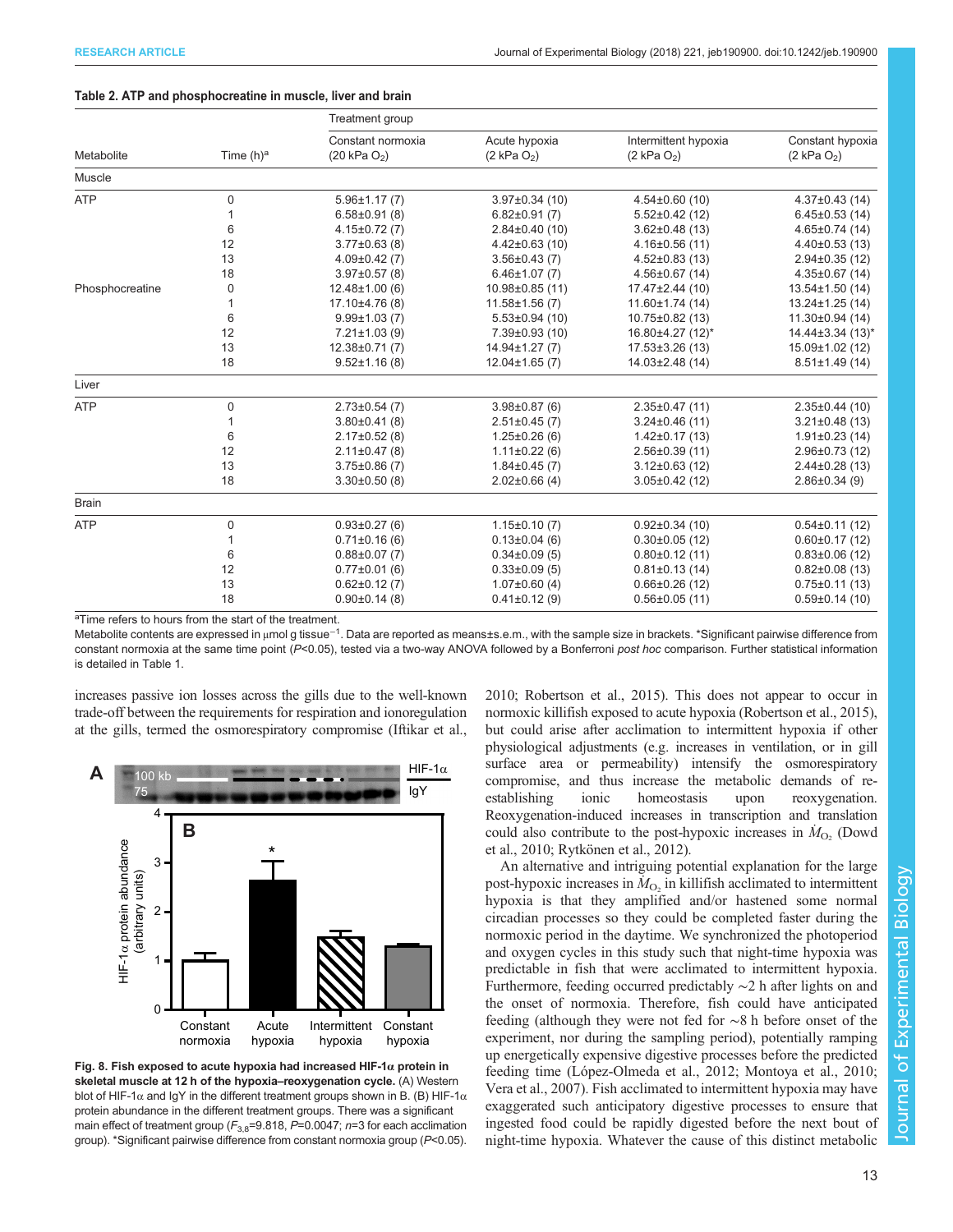## <span id="page-12-0"></span>Table 2. ATP and phosphocreatine in muscle, liver and brain

|                 | Time $(h)^a$ | Treatment group                              |                                 |                                        |                                    |  |  |
|-----------------|--------------|----------------------------------------------|---------------------------------|----------------------------------------|------------------------------------|--|--|
| Metabolite      |              | Constant normoxia<br>$(20 \text{ kPa } O_2)$ | Acute hypoxia<br>$(2$ kPa $O2)$ | Intermittent hypoxia<br>$(2$ kPa $O2)$ | Constant hypoxia<br>$(2$ kPa $O2)$ |  |  |
| Muscle          |              |                                              |                                 |                                        |                                    |  |  |
| <b>ATP</b>      | 0            | $5.96 \pm 1.17(7)$                           | $3.97 \pm 0.34$ (10)            | $4.54\pm0.60(10)$                      | $4.37\pm0.43(14)$                  |  |  |
|                 | 1            | $6.58 \pm 0.91$ (8)                          | $6.82\pm0.91(7)$                | $5.52 \pm 0.42$ (12)                   | $6.45 \pm 0.53$ (14)               |  |  |
|                 | 6            | $4.15 \pm 0.72$ (7)                          | $2.84\pm0.40(10)$               | $3.62 \pm 0.48$ (13)                   | $4.65 \pm 0.74$ (14)               |  |  |
|                 | 12           | $3.77 \pm 0.63$ (8)                          | $4.42\pm0.63(10)$               | $4.16\pm0.56(11)$                      | $4.40\pm0.53(13)$                  |  |  |
|                 | 13           | $4.09\pm0.42(7)$                             | $3.56 \pm 0.43$ (7)             | $4.52\pm0.83(13)$                      | $2.94\pm0.35(12)$                  |  |  |
|                 | 18           | $3.97 \pm 0.57$ (8)                          | $6.46 \pm 1.07$ (7)             | $4.56 \pm 0.67$ (14)                   | $4.35\pm0.67$ (14)                 |  |  |
| Phosphocreatine | 0            | $12.48 \pm 1.00(6)$                          | 10.98±0.85 (11)                 | 17.47±2.44 (10)                        | $13.54 \pm 1.50$ (14)              |  |  |
|                 | 1            | 17.10±4.76 (8)                               | $11.58 \pm 1.56$ (7)            | 11.60±1.74 (14)                        | 13.24±1.25 (14)                    |  |  |
|                 | 6            | $9.99 \pm 1.03(7)$                           | $5.53\pm0.94(10)$               | $10.75 \pm 0.82$ (13)                  | $11.30\pm0.94(14)$                 |  |  |
|                 | 12           | $7.21 \pm 1.03$ (9)                          | 7.39±0.93 (10)                  | 16.80±4.27 (12)*                       | 14.44±3.34 (13)*                   |  |  |
|                 | 13           | $12.38 \pm 0.71(7)$                          | 14.94±1.27 (7)                  | $17.53 \pm 3.26$ (13)                  | 15.09±1.02 (12)                    |  |  |
|                 | 18           | $9.52 \pm 1.16(8)$                           | $12.04 \pm 1.65$ (7)            | 14.03±2.48 (14)                        | $8.51 \pm 1.49$ (14)               |  |  |
| Liver           |              |                                              |                                 |                                        |                                    |  |  |
| <b>ATP</b>      | 0            | $2.73 \pm 0.54$ (7)                          | $3.98\pm0.87(6)$                | $2.35\pm0.47(11)$                      | $2.35\pm0.44(10)$                  |  |  |
|                 | 1            | $3.80\pm0.41(8)$                             | $2.51\pm0.45(7)$                | $3.24 \pm 0.46$ (11)                   | $3.21 \pm 0.48$ (13)               |  |  |
|                 | 6            | $2.17\pm0.52(8)$                             | $1.25 \pm 0.26$ (6)             | $1.42\pm0.17(13)$                      | $1.91 \pm 0.23$ (14)               |  |  |
|                 | 12           | $2.11 \pm 0.47$ (8)                          | $1.11 \pm 0.22$ (6)             | $2.56 \pm 0.39$ (11)                   | $2.96 \pm 0.73$ (12)               |  |  |
|                 | 13           | $3.75 \pm 0.86$ (7)                          | $1.84\pm0.45(7)$                | $3.12\pm0.63(12)$                      | $2.44\pm0.28(13)$                  |  |  |
|                 | 18           | $3.30\pm0.50(8)$                             | $2.02 \pm 0.66$ (4)             | $3.05 \pm 0.42$ (12)                   | $2.86 \pm 0.34$ (9)                |  |  |
| <b>Brain</b>    |              |                                              |                                 |                                        |                                    |  |  |
| <b>ATP</b>      | 0            | $0.93 \pm 0.27(6)$                           | $1.15\pm0.10(7)$                | $0.92\pm0.34(10)$                      | $0.54\pm0.11(12)$                  |  |  |
|                 | 1            | $0.71 \pm 0.16$ (6)                          | $0.13\pm0.04(6)$                | $0.30\pm0.05$ (12)                     | $0.60 \pm 0.17(12)$                |  |  |
|                 | 6            | $0.88 \pm 0.07$ (7)                          | $0.34\pm0.09(5)$                | $0.80\pm0.12(11)$                      | $0.83\pm0.06(12)$                  |  |  |
|                 | 12           | $0.77 \pm 0.01$ (6)                          | $0.33\pm0.09(5)$                | $0.81 \pm 0.13(14)$                    | $0.82\pm0.08(13)$                  |  |  |
|                 | 13           | $0.62 \pm 0.12(7)$                           | $1.07\pm0.60(4)$                | $0.66 \pm 0.26$ (12)                   | $0.75 \pm 0.11(13)$                |  |  |
|                 | 18           | $0.90 \pm 0.14$ (8)                          | $0.41 \pm 0.12$ (9)             | $0.56\pm0.05(11)$                      | $0.59\pm0.14(10)$                  |  |  |

<sup>a</sup>Time refers to hours from the start of the treatment.

Metabolite contents are expressed in µmol g tissue<sup>−1</sup>. Data are reported as means±s.e.m., with the sample size in brackets. \*Significant pairwise difference from constant normoxia at the same time point (P<0.05), tested via a two-way ANOVA followed by a Bonferroni post hoc comparison. Further statistical information is detailed in [Table 1](#page-8-0).

increases passive ion losses across the gills due to the well-known trade-off between the requirements for respiration and ionoregulation at the gills, termed the osmorespiratory compromise ([Iftikar et al.,](#page-13-0)



Fig. 8. Fish exposed to acute hypoxia had increased HIF-1 $\alpha$  protein in skeletal muscle at 12 h of the hypoxia-reoxygenation cycle. (A) Western blot of HIF-1 $\alpha$  and IgY in the different treatment groups shown in B. (B) HIF-1 $\alpha$ protein abundance in the different treatment groups. There was a significant main effect of treatment group ( $F_{3,8}=9.818$ ,  $P=0.0047$ ; n=3 for each acclimation group). \*Significant pairwise difference from constant normoxia group (P<0.05).

[2010;](#page-13-0) [Robertson et al., 2015](#page-14-0)). This does not appear to occur in normoxic killifish exposed to acute hypoxia [\(Robertson et al., 2015\)](#page-14-0), but could arise after acclimation to intermittent hypoxia if other physiological adjustments (e.g. increases in ventilation, or in gill surface area or permeability) intensify the osmorespiratory compromise, and thus increase the metabolic demands of reestablishing ionic homeostasis upon reoxygenation. Reoxygenation-induced increases in transcription and translation could also contribute to the post-hypoxic increases in  $\dot{M}_{\text{O}_2}$  [\(Dowd](#page-13-0) [et al., 2010;](#page-13-0) [Rytkönen et al., 2012](#page-14-0)).

An alternative and intriguing potential explanation for the large post-hypoxic increases in  $\dot{M}_{\text{O}_2}$  in killifish acclimated to intermittent hypoxia is that they amplified and/or hastened some normal circadian processes so they could be completed faster during the normoxic period in the daytime. We synchronized the photoperiod and oxygen cycles in this study such that night-time hypoxia was predictable in fish that were acclimated to intermittent hypoxia. Furthermore, feeding occurred predictably ∼2 h after lights on and the onset of normoxia. Therefore, fish could have anticipated feeding (although they were not fed for ∼8 h before onset of the experiment, nor during the sampling period), potentially ramping up energetically expensive digestive processes before the predicted feeding time [\(López-Olmeda et al., 2012; Montoya et al., 2010](#page-14-0); [Vera et al., 2007](#page-15-0)). Fish acclimated to intermittent hypoxia may have exaggerated such anticipatory digestive processes to ensure that ingested food could be rapidly digested before the next bout of night-time hypoxia. Whatever the cause of this distinct metabolic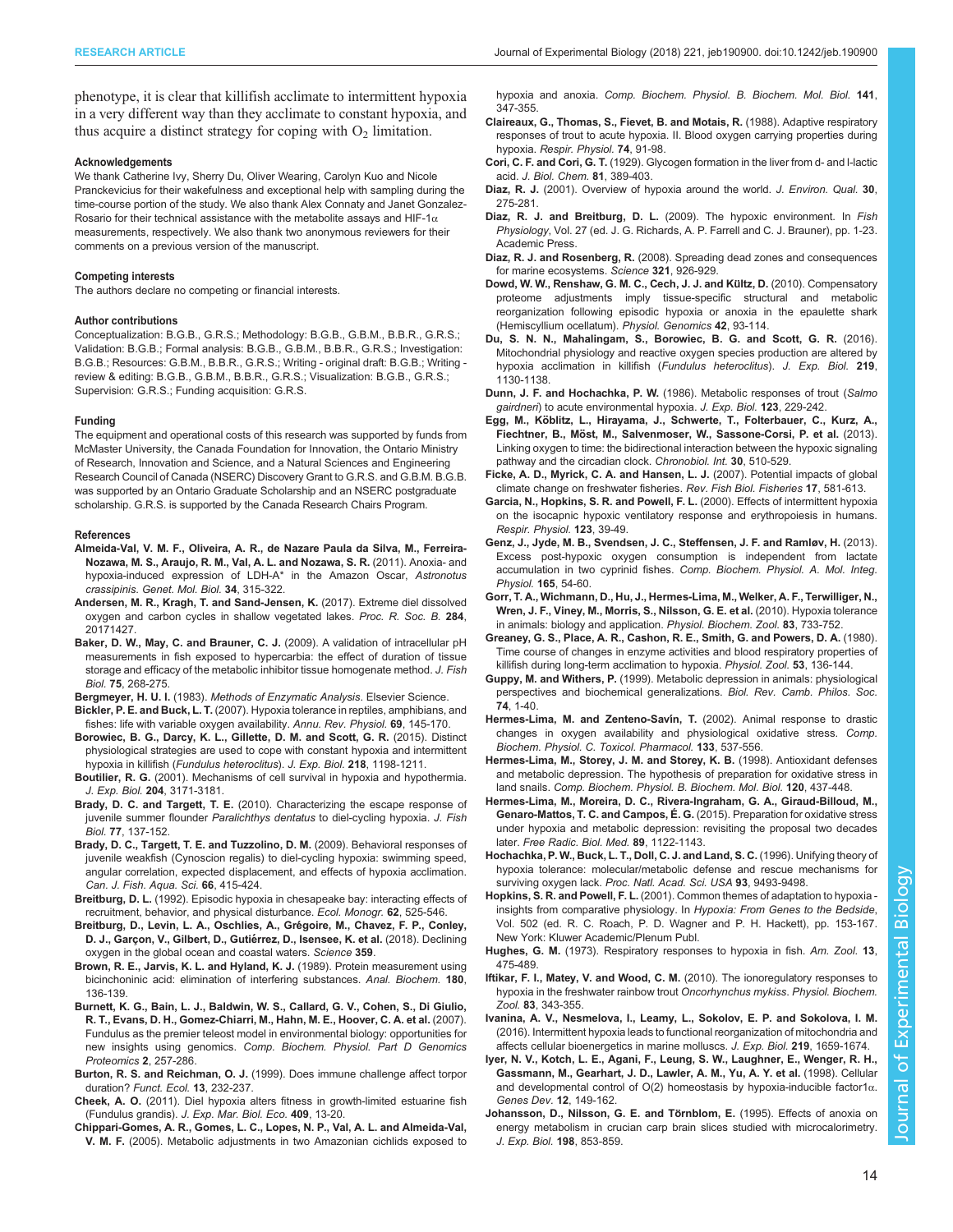<span id="page-13-0"></span>phenotype, it is clear that killifish acclimate to intermittent hypoxia in a very different way than they acclimate to constant hypoxia, and thus acquire a distinct strategy for coping with  $O<sub>2</sub>$  limitation.

#### Acknowledgements

We thank Catherine Ivy, Sherry Du, Oliver Wearing, Carolyn Kuo and Nicole Pranckevicius for their wakefulness and exceptional help with sampling during the time-course portion of the study. We also thank Alex Connaty and Janet Gonzalez-Rosario for their technical assistance with the metabolite assays and HIF-1 $\alpha$ measurements, respectively. We also thank two anonymous reviewers for their comments on a previous version of the manuscript.

#### Competing interests

The authors declare no competing or financial interests.

#### Author contributions

Conceptualization: B.G.B., G.R.S.; Methodology: B.G.B., G.B.M., B.B.R., G.R.S.; Validation: B.G.B.; Formal analysis: B.G.B., G.B.M., B.B.R., G.R.S.; Investigation: B.G.B.; Resources: G.B.M., B.B.R., G.R.S.; Writing - original draft: B.G.B.; Writing review & editing: B.G.B., G.B.M., B.B.R., G.R.S.; Visualization: B.G.B., G.R.S.; Supervision: G.R.S.; Funding acquisition: G.R.S.

#### Funding

The equipment and operational costs of this research was supported by funds from McMaster University, the Canada Foundation for Innovation, the Ontario Ministry of Research, Innovation and Science, and a Natural Sciences and Engineering Research Council of Canada (NSERC) Discovery Grant to G.R.S. and G.B.M. B.G.B. was supported by an Ontario Graduate Scholarship and an NSERC postgraduate scholarship. G.R.S. is supported by the Canada Research Chairs Program.

#### References

- [Almeida-Val, V. M. F., Oliveira, A. R., de Nazare Paula da Silva, M., Ferreira-](http://dx.doi.org/10.1590/S1415-47572011000200025)[Nozawa, M. S., Araujo, R. M., Val, A. L. and Nozawa, S. R.](http://dx.doi.org/10.1590/S1415-47572011000200025) (2011). Anoxia- and [hypoxia-induced expression of LDH-A\\* in the Amazon Oscar,](http://dx.doi.org/10.1590/S1415-47572011000200025) Astronotus crassipinis. [Genet. Mol. Biol.](http://dx.doi.org/10.1590/S1415-47572011000200025) 34, 315-322.
- [Andersen, M. R., Kragh, T. and Sand-Jensen, K.](http://dx.doi.org/10.1098/rspb.2017.1427) (2017). Extreme diel dissolved [oxygen and carbon cycles in shallow vegetated lakes.](http://dx.doi.org/10.1098/rspb.2017.1427) Proc. R. Soc. B. 284, [20171427.](http://dx.doi.org/10.1098/rspb.2017.1427)
- [Baker, D. W., May, C. and Brauner, C. J.](http://dx.doi.org/10.1111/j.1095-8649.2009.02261.x) (2009). A validation of intracellular pH [measurements in fish exposed to hypercarbia: the effect of duration of tissue](http://dx.doi.org/10.1111/j.1095-8649.2009.02261.x) [storage and efficacy of the metabolic inhibitor tissue homogenate method.](http://dx.doi.org/10.1111/j.1095-8649.2009.02261.x) J. Fish Biol. 75[, 268-275.](http://dx.doi.org/10.1111/j.1095-8649.2009.02261.x)
- Bergmeyer, H. U. I. (1983). Methods of Enzymatic Analysis. Elsevier Science.
- Bickler, P. E. and Buck, L. T. [\(2007\). Hypoxia tolerance in reptiles, amphibians, and](http://dx.doi.org/10.1146/annurev.physiol.69.031905.162529) [fishes: life with variable oxygen availability.](http://dx.doi.org/10.1146/annurev.physiol.69.031905.162529) Annu. Rev. Physiol. 69, 145-170.
- [Borowiec, B. G., Darcy, K. L., Gillette, D. M. and Scott, G. R.](http://dx.doi.org/10.1242/jeb.114579) (2015). Distinct [physiological strategies are used to cope with constant hypoxia and intermittent](http://dx.doi.org/10.1242/jeb.114579) hypoxia in killifish ([Fundulus heteroclitus](http://dx.doi.org/10.1242/jeb.114579)). J. Exp. Biol. 218, 1198-1211.
- Boutilier, R. G. (2001). Mechanisms of cell survival in hypoxia and hypothermia. J. Exp. Biol. 204, 3171-3181.
- Brady, D. C. and Targett, T. E. [\(2010\). Characterizing the escape response of](http://dx.doi.org/10.1111/j.1095-8649.2010.02663.x) [juvenile summer flounder](http://dx.doi.org/10.1111/j.1095-8649.2010.02663.x) Paralichthys dentatus to diel-cycling hypoxia. J. Fish Biol. 77[, 137-152.](http://dx.doi.org/10.1111/j.1095-8649.2010.02663.x)
- [Brady, D. C., Targett, T. E. and Tuzzolino, D. M.](http://dx.doi.org/10.1139/F09-007) (2009). Behavioral responses of [juvenile weakfish \(Cynoscion regalis\) to diel-cycling hypoxia: swimming speed,](http://dx.doi.org/10.1139/F09-007) [angular correlation, expected displacement, and effects of hypoxia acclimation.](http://dx.doi.org/10.1139/F09-007) [Can. J. Fish. Aqua. Sci.](http://dx.doi.org/10.1139/F09-007) 66, 415-424.
- Breitburg, D. L. [\(1992\). Episodic hypoxia in chesapeake bay: interacting effects of](http://dx.doi.org/10.2307/2937315) [recruitment, behavior, and physical disturbance.](http://dx.doi.org/10.2307/2937315) Ecol. Monogr. 62, 525-546.
- Breitburg, D., Levin, L. A., Oschlies, A., Grégoire, M., Chavez, F. P., Conley, D. J., Garçon, V., Gilbert, D., Gutiérrez, D., Isensee, K. et al. (2018). Declining [oxygen in the global ocean and coastal waters.](http://dx.doi.org/10.1126/science.aam7240) Science 359.
- [Brown, R. E., Jarvis, K. L. and Hyland, K. J.](http://dx.doi.org/10.1016/0003-2697(89)90101-2) (1989). Protein measurement using [bicinchoninic acid: elimination of interfering substances.](http://dx.doi.org/10.1016/0003-2697(89)90101-2) Anal. Biochem. 180, [136-139.](http://dx.doi.org/10.1016/0003-2697(89)90101-2)
- [Burnett, K. G., Bain, L. J., Baldwin, W. S., Callard, G. V., Cohen, S., Di Giulio,](http://dx.doi.org/10.1016/j.cbd.2007.09.001) [R. T., Evans, D. H., Gomez-Chiarri, M., Hahn, M. E., Hoover, C. A. et al.](http://dx.doi.org/10.1016/j.cbd.2007.09.001) (2007). [Fundulus as the premier teleost model in environmental biology: opportunities for](http://dx.doi.org/10.1016/j.cbd.2007.09.001) new insights using genomics. [Comp. Biochem. Physiol. Part D Genomics](http://dx.doi.org/10.1016/j.cbd.2007.09.001) [Proteomics](http://dx.doi.org/10.1016/j.cbd.2007.09.001) 2, 257-286.
- Burton, R. S. and Reichman, O. J. [\(1999\). Does immune challenge affect torpor](http://dx.doi.org/10.1046/j.1365-2435.1999.00302.x) duration? [Funct. Ecol.](http://dx.doi.org/10.1046/j.1365-2435.1999.00302.x) 13, 232-237.
- Cheek, A. O. [\(2011\). Diel hypoxia alters fitness in growth-limited estuarine fish](http://dx.doi.org/10.1016/j.jembe.2011.07.006) (Fundulus grandis). [J. Exp. Mar. Biol. Eco.](http://dx.doi.org/10.1016/j.jembe.2011.07.006) 409, 13-20.
- [Chippari-Gomes, A. R., Gomes, L. C., Lopes, N. P., Val, A. L. and Almeida-Val,](http://dx.doi.org/10.1016/j.cbpc.2005.04.006) V. M. F. [\(2005\). Metabolic adjustments in two Amazonian cichlids exposed to](http://dx.doi.org/10.1016/j.cbpc.2005.04.006)

hypoxia and anoxia. [Comp. Biochem. Physiol. B. Biochem. Mol. Biol.](http://dx.doi.org/10.1016/j.cbpc.2005.04.006) 141, [347-355.](http://dx.doi.org/10.1016/j.cbpc.2005.04.006)

- [Claireaux, G., Thomas, S., Fievet, B. and Motais, R.](http://dx.doi.org/10.1016/0034-5687(88)90143-0) (1988). Adaptive respiratory [responses of trout to acute hypoxia. II. Blood oxygen carrying properties during](http://dx.doi.org/10.1016/0034-5687(88)90143-0) hypoxia. [Respir. Physiol.](http://dx.doi.org/10.1016/0034-5687(88)90143-0) 74, 91-98.
- Cori, C. F. and Cori, G. T. (1929). Glycogen formation in the liver from d- and l-lactic acid. J. Biol. Chem. 81, 389-403.
- Diaz, R. J. [\(2001\). Overview of hypoxia around the world.](http://dx.doi.org/10.2134/jeq2001.302275x) J. Environ. Qual. 30, [275-281.](http://dx.doi.org/10.2134/jeq2001.302275x)
- Diaz, R. J. and Breitburg, D. L. (2009). The hypoxic environment. In Fish Physiology, Vol. 27 (ed. J. G. Richards, A. P. Farrell and C. J. Brauner), pp. 1-23. Academic Press.
- Diaz, R. J. and Rosenberg, R. [\(2008\). Spreading dead zones and consequences](http://dx.doi.org/10.1126/science.1156401) [for marine ecosystems.](http://dx.doi.org/10.1126/science.1156401) Science 321, 926-929.
- Dowd, W. W., Renshaw, G. M. C., Cech, J. J. and Kültz, D. (2010). Compensatory [proteome adjustments imply tissue-specific structural and metabolic](http://dx.doi.org/10.1152/physiolgenomics.00176.2009) [reorganization following episodic hypoxia or anoxia in the epaulette shark](http://dx.doi.org/10.1152/physiolgenomics.00176.2009) [\(Hemiscyllium ocellatum\).](http://dx.doi.org/10.1152/physiolgenomics.00176.2009) Physiol. Genomics 42, 93-114.
- [Du, S. N. N., Mahalingam, S., Borowiec, B. G. and Scott, G. R.](http://dx.doi.org/10.1242/jeb.132860) (2016). [Mitochondrial physiology and reactive oxygen species production are altered by](http://dx.doi.org/10.1242/jeb.132860) [hypoxia acclimation in killifish \(](http://dx.doi.org/10.1242/jeb.132860)Fundulus heteroclitus). J. Exp. Biol. 219, [1130-1138.](http://dx.doi.org/10.1242/jeb.132860)
- Dunn, J. F. and Hochachka, P. W. (1986). Metabolic responses of trout (Salmo gairdneri) to acute environmental hypoxia. J. Exp. Biol. 123, 229-242.
- Egg, M., Kö[blitz, L., Hirayama, J., Schwerte, T., Folterbauer, C., Kurz, A.,](http://dx.doi.org/10.3109/07420528.2012.754447) Fiechtner, B., Mö[st, M., Salvenmoser, W., Sassone-Corsi, P. et al.](http://dx.doi.org/10.3109/07420528.2012.754447) (2013). [Linking oxygen to time: the bidirectional interaction between the hypoxic signaling](http://dx.doi.org/10.3109/07420528.2012.754447) [pathway and the circadian clock.](http://dx.doi.org/10.3109/07420528.2012.754447) Chronobiol. Int. 30, 510-529.
- [Ficke, A. D., Myrick, C. A. and Hansen, L. J.](http://dx.doi.org/10.1007/s11160-007-9059-5) (2007). Potential impacts of global [climate change on freshwater fisheries.](http://dx.doi.org/10.1007/s11160-007-9059-5) Rev. Fish Biol. Fisheries 17, 581-613.
- [Garcia, N., Hopkins, S. R. and Powell, F. L.](http://dx.doi.org/10.1016/S0034-5687(00)00145-6) (2000). Effects of intermittent hypoxia [on the isocapnic hypoxic ventilatory response and erythropoiesis in humans.](http://dx.doi.org/10.1016/S0034-5687(00)00145-6) [Respir. Physiol.](http://dx.doi.org/10.1016/S0034-5687(00)00145-6) 123, 39-49.
- [Genz, J., Jyde, M. B., Svendsen, J. C., Steffensen, J. F. and Ramløv, H.](http://dx.doi.org/10.1016/j.cbpa.2013.02.002) (2013). [Excess post-hypoxic oxygen consumption is independent from lactate](http://dx.doi.org/10.1016/j.cbpa.2013.02.002) accumulation in two cyprinid fishes. [Comp. Biochem. Physiol. A. Mol. Integ.](http://dx.doi.org/10.1016/j.cbpa.2013.02.002) [Physiol.](http://dx.doi.org/10.1016/j.cbpa.2013.02.002) 165, 54-60.
- [Gorr, T. A., Wichmann, D., Hu, J., Hermes-Lima, M., Welker, A. F., Terwilliger, N.,](http://dx.doi.org/10.1086/648581) [Wren, J. F., Viney, M., Morris, S., Nilsson, G. E. et al.](http://dx.doi.org/10.1086/648581) (2010). Hypoxia tolerance [in animals: biology and application.](http://dx.doi.org/10.1086/648581) Physiol. Biochem. Zool. 83, 733-752.
- [Greaney, G. S., Place, A. R., Cashon, R. E., Smith, G. and Powers, D. A.](http://dx.doi.org/10.1086/physzool.53.2.30152576) (1980). [Time course of changes in enzyme activities and blood respiratory properties of](http://dx.doi.org/10.1086/physzool.53.2.30152576) [killifish during long-term acclimation to hypoxia.](http://dx.doi.org/10.1086/physzool.53.2.30152576) Physiol. Zool. 53, 136-144.
- Guppy, M. and Withers, P. [\(1999\). Metabolic depression in animals: physiological](http://dx.doi.org/10.1017/S0006323198005258) [perspectives and biochemical generalizations.](http://dx.doi.org/10.1017/S0006323198005258) Biol. Rev. Camb. Philos. Soc. 74[, 1-40.](http://dx.doi.org/10.1017/S0006323198005258)
- [Hermes-Lima, M. and Zenteno-Sav](http://dx.doi.org/10.1016/S1532-0456(02)00080-7)ín, T. (2002). Animal response to drastic [changes in oxygen availability and physiological oxidative stress.](http://dx.doi.org/10.1016/S1532-0456(02)00080-7) Comp. [Biochem. Physiol. C. Toxicol. Pharmacol.](http://dx.doi.org/10.1016/S1532-0456(02)00080-7) 133, 537-556.
- [Hermes-Lima, M., Storey, J. M. and Storey, K. B.](http://dx.doi.org/10.1016/S0305-0491(98)10053-6) (1998). Antioxidant defenses [and metabolic depression. The hypothesis of preparation for oxidative stress in](http://dx.doi.org/10.1016/S0305-0491(98)10053-6) land snails. [Comp. Biochem. Physiol. B. Biochem. Mol. Biol.](http://dx.doi.org/10.1016/S0305-0491(98)10053-6) 120, 437-448.
- [Hermes-Lima, M., Moreira, D. C., Rivera-Ingraham, G. A., Giraud-Billoud, M.,](http://dx.doi.org/10.1016/j.freeradbiomed.2015.07.156) [Genaro-Mattos, T. C. and Campos, É. G.](http://dx.doi.org/10.1016/j.freeradbiomed.2015.07.156) (2015). Preparation for oxidative stress [under hypoxia and metabolic depression: revisiting the proposal two decades](http://dx.doi.org/10.1016/j.freeradbiomed.2015.07.156) later. [Free Radic. Biol. Med.](http://dx.doi.org/10.1016/j.freeradbiomed.2015.07.156) 89, 1122-1143.
- [Hochachka, P. W., Buck, L. T., Doll, C. J. and Land, S. C.](http://dx.doi.org/10.1073/pnas.93.18.9493) (1996). Unifying theory of [hypoxia tolerance: molecular/metabolic defense and rescue mechanisms for](http://dx.doi.org/10.1073/pnas.93.18.9493) surviving oxygen lack. [Proc. Natl. Acad. Sci. USA](http://dx.doi.org/10.1073/pnas.93.18.9493) 93, 9493-9498.
- Hopkins, S. R. and Powell, F. L. (2001). Common themes of adaptation to hypoxia insights from comparative physiology. In Hypoxia: From Genes to the Bedside, Vol. 502 (ed. R. C. Roach, P. D. Wagner and P. H. Hackett), pp. 153-167. New York: Kluwer Academic/Plenum Publ.
- Hughes, G. M. [\(1973\). Respiratory responses to hypoxia in fish.](http://dx.doi.org/10.1093/icb/13.2.475) Am. Zool. 13, [475-489.](http://dx.doi.org/10.1093/icb/13.2.475)
- [Iftikar, F. I., Matey, V. and Wood, C. M.](http://dx.doi.org/10.1086/648566) (2010). The ionoregulatory responses to [hypoxia in the freshwater rainbow trout](http://dx.doi.org/10.1086/648566) Oncorhynchus mykiss. Physiol. Biochem. Zool. 83[, 343-355.](http://dx.doi.org/10.1086/648566)
- [Ivanina, A. V., Nesmelova, I., Leamy, L., Sokolov, E. P. and Sokolova, I. M.](http://dx.doi.org/10.1242/jeb.134700) [\(2016\). Intermittent hypoxia leads to functional reorganization of mitochondria and](http://dx.doi.org/10.1242/jeb.134700) [affects cellular bioenergetics in marine molluscs.](http://dx.doi.org/10.1242/jeb.134700) J. Exp. Biol. 219, 1659-1674.
- [Iyer, N. V., Kotch, L. E., Agani, F., Leung, S. W., Laughner, E., Wenger, R. H.,](http://dx.doi.org/10.1101/gad.12.2.149) [Gassmann, M., Gearhart, J. D., Lawler, A. M., Yu, A. Y. et al.](http://dx.doi.org/10.1101/gad.12.2.149) (1998). Cellular [and developmental control of O\(2\) homeostasis by hypoxia-inducible factor1](http://dx.doi.org/10.1101/gad.12.2.149)α. [Genes Dev.](http://dx.doi.org/10.1101/gad.12.2.149) 12, 149-162.
- Johansson, D., Nilsson, G. E. and Törnblom, E. (1995). Effects of anoxia on energy metabolism in crucian carp brain slices studied with microcalorimetry. J. Exp. Biol. 198, 853-859.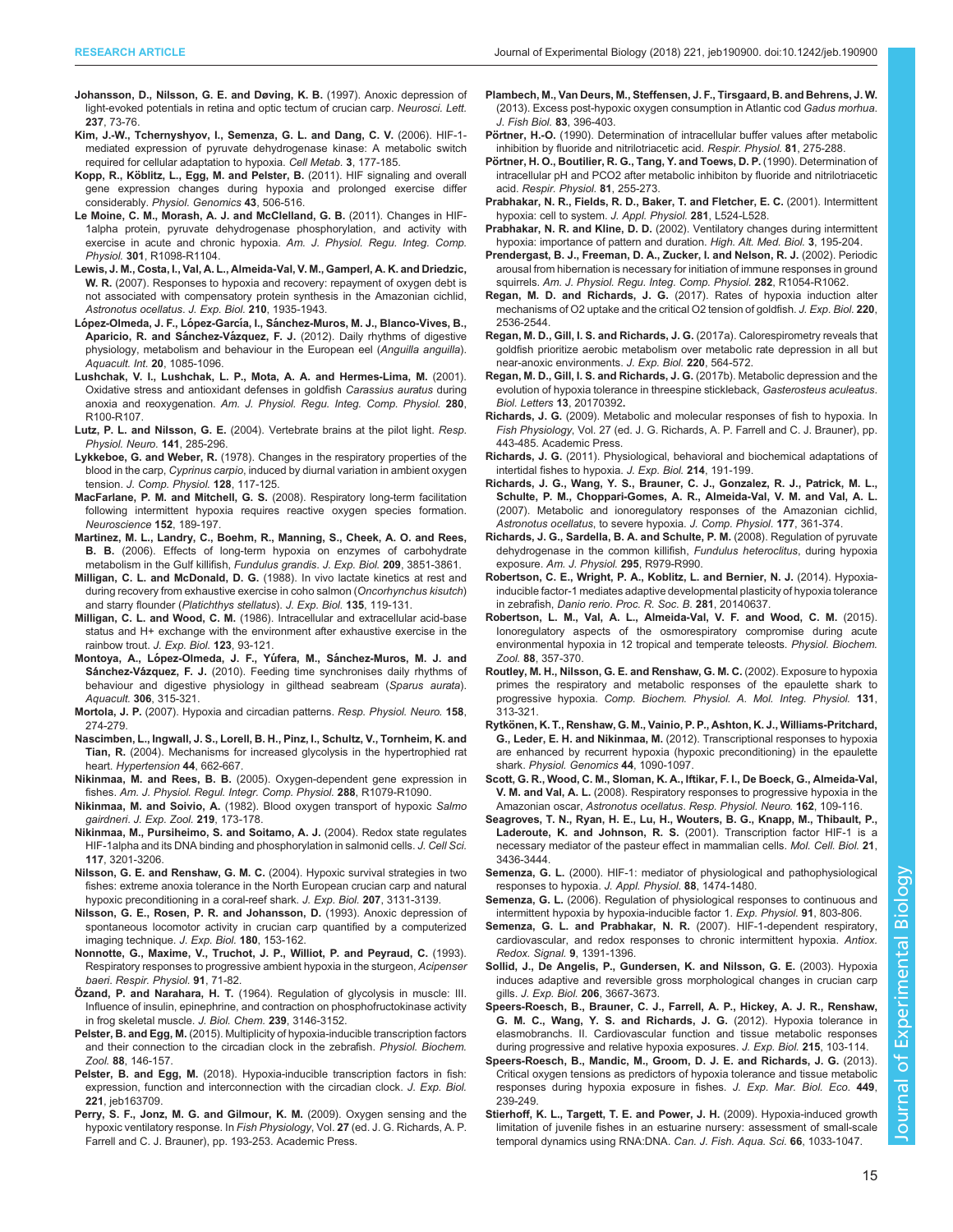- <span id="page-14-0"></span>[Johansson, D., Nilsson, G. E. and Døving, K. B.](http://dx.doi.org/10.1016/S0304-3940(97)00814-8) (1997). Anoxic depression of [light-evoked potentials in retina and optic tectum of crucian carp.](http://dx.doi.org/10.1016/S0304-3940(97)00814-8) Neurosci. Lett. 237[, 73-76.](http://dx.doi.org/10.1016/S0304-3940(97)00814-8)
- [Kim, J.-W., Tchernyshyov, I., Semenza, G. L. and Dang, C. V.](http://dx.doi.org/10.1016/j.cmet.2006.02.002) (2006). HIF-1 [mediated expression of pyruvate dehydrogenase kinase: A metabolic switch](http://dx.doi.org/10.1016/j.cmet.2006.02.002) [required for cellular adaptation to hypoxia.](http://dx.doi.org/10.1016/j.cmet.2006.02.002) Cell Metab. 3, 177-185.
- Kopp, R., Kö[blitz, L., Egg, M. and Pelster, B.](http://dx.doi.org/10.1152/physiolgenomics.00250.2010) (2011). HIF signaling and overall [gene expression changes during hypoxia and prolonged exercise differ](http://dx.doi.org/10.1152/physiolgenomics.00250.2010) considerably. [Physiol. Genomics](http://dx.doi.org/10.1152/physiolgenomics.00250.2010) 43, 506-516.
- [Le Moine, C. M., Morash, A. J. and McClelland, G. B.](http://dx.doi.org/10.1152/ajpregu.00070.2011) (2011). Changes in HIF-[1alpha protein, pyruvate dehydrogenase phosphorylation, and activity with](http://dx.doi.org/10.1152/ajpregu.00070.2011) [exercise in acute and chronic hypoxia.](http://dx.doi.org/10.1152/ajpregu.00070.2011) Am. J. Physiol. Regu. Integ. Comp. Physiol. 301[, R1098-R1104.](http://dx.doi.org/10.1152/ajpregu.00070.2011)
- [Lewis, J. M., Costa, I., Val, A. L., Almeida-Val, V. M., Gamperl, A. K. and Driedzic,](http://dx.doi.org/10.1242/jeb.005371) W. R. [\(2007\). Responses to hypoxia and recovery: repayment of oxygen debt is](http://dx.doi.org/10.1242/jeb.005371) [not associated with compensatory protein synthesis in the Amazonian cichlid,](http://dx.doi.org/10.1242/jeb.005371) [Astronotus ocellatus](http://dx.doi.org/10.1242/jeb.005371). J. Exp. Biol. 210, 1935-1943.
- López-Olmeda, J. F., López-García, I., Sá[nchez-Muros, M. J., Blanco-Vives, B.,](http://dx.doi.org/10.1007/s10499-012-9547-z) Aparicio, R. and Sánchez-Vázquez, F. J. [\(2012\). Daily rhythms of digestive](http://dx.doi.org/10.1007/s10499-012-9547-z) [physiology, metabolism and behaviour in the European eel \(](http://dx.doi.org/10.1007/s10499-012-9547-z)Anguilla anguilla). [Aquacult. Int.](http://dx.doi.org/10.1007/s10499-012-9547-z) 20, 1085-1096.
- [Lushchak, V. I., Lushchak, L. P., Mota, A. A. and Hermes-Lima, M.](http://dx.doi.org/10.1152/ajpregu.2001.280.1.R100) (2001). [Oxidative stress and antioxidant defenses in goldfish](http://dx.doi.org/10.1152/ajpregu.2001.280.1.R100) Carassius auratus during anoxia and reoxygenation. [Am. J. Physiol. Regu. Integ. Comp. Physiol.](http://dx.doi.org/10.1152/ajpregu.2001.280.1.R100) 280, [R100-R107.](http://dx.doi.org/10.1152/ajpregu.2001.280.1.R100)
- Lutz, P. L. and Nilsson, G. E. [\(2004\). Vertebrate brains at the pilot light.](http://dx.doi.org/10.1016/j.resp.2004.03.013) Resp. [Physiol. Neuro.](http://dx.doi.org/10.1016/j.resp.2004.03.013) 141, 285-296.
- Lykkeboe, G. and Weber, R. [\(1978\). Changes in the respiratory properties of the](http://dx.doi.org/10.1007/BF00689475) blood in the carp, Cyprinus carpio[, induced by diurnal variation in ambient oxygen](http://dx.doi.org/10.1007/BF00689475) tension. [J. Comp. Physiol.](http://dx.doi.org/10.1007/BF00689475) 128, 117-125.
- MacFarlane, P. M. and Mitchell, G. S. [\(2008\). Respiratory long-term facilitation](http://dx.doi.org/10.1016/j.neuroscience.2007.12.003) [following intermittent hypoxia requires reactive oxygen species formation.](http://dx.doi.org/10.1016/j.neuroscience.2007.12.003) [Neuroscience](http://dx.doi.org/10.1016/j.neuroscience.2007.12.003) 152, 189-197.
- [Martinez, M. L., Landry, C., Boehm, R., Manning, S., Cheek, A. O. and Rees,](http://dx.doi.org/10.1242/jeb.02437) B. B. [\(2006\). Effects of long-term hypoxia on enzymes of carbohydrate](http://dx.doi.org/10.1242/jeb.02437) [metabolism in the Gulf killifish,](http://dx.doi.org/10.1242/jeb.02437) Fundulus grandis. J. Exp. Biol. 209, 3851-3861.
- Milligan, C. L. and McDonald, D. G. (1988). In vivo lactate kinetics at rest and during recovery from exhaustive exercise in coho salmon (Oncorhynchus kisutch) and starry flounder (Platichthys stellatus). J. Exp. Biol. 135, 119-131.
- Milligan, C. L. and Wood, C. M. (1986). Intracellular and extracellular acid-base status and H+ exchange with the environment after exhaustive exercise in the rainbow trout. J. Exp. Biol. 123, 93-121.
- Montoya, A., López-Olmeda, J. F., Yúfera, M., Sá[nchez-Muros, M. J. and](http://dx.doi.org/10.1016/j.aquaculture.2010.06.023) Sánchez-Vázquez, F. J. [\(2010\). Feeding time synchronises daily rhythms of](http://dx.doi.org/10.1016/j.aquaculture.2010.06.023) [behaviour and digestive physiology in gilthead seabream \(](http://dx.doi.org/10.1016/j.aquaculture.2010.06.023)Sparus aurata). Aquacult. 306[, 315-321.](http://dx.doi.org/10.1016/j.aquaculture.2010.06.023)
- Mortola, J. P. [\(2007\). Hypoxia and circadian patterns.](http://dx.doi.org/10.1016/j.resp.2007.02.005) Resp. Physiol. Neuro. 158, [274-279.](http://dx.doi.org/10.1016/j.resp.2007.02.005)
- [Nascimben, L., Ingwall, J. S., Lorell, B. H., Pinz, I., Schultz, V., Tornheim, K. and](http://dx.doi.org/10.1161/01.HYP.0000144292.69599.0c) Tian, R. [\(2004\). Mechanisms for increased glycolysis in the hypertrophied rat](http://dx.doi.org/10.1161/01.HYP.0000144292.69599.0c) heart. [Hypertension](http://dx.doi.org/10.1161/01.HYP.0000144292.69599.0c) 44, 662-667.
- Nikinmaa, M. and Rees, B. B. [\(2005\). Oxygen-dependent gene expression in](http://dx.doi.org/10.1152/ajpregu.00626.2004) fishes. [Am. J. Physiol. Regul. Integr. Comp. Physiol.](http://dx.doi.org/10.1152/ajpregu.00626.2004) 288, R1079-R1090.
- Nikinmaa, M. and Soivio, A. [\(1982\). Blood oxygen transport of hypoxic](http://dx.doi.org/10.1002/jez.1402190206) Salmo gairdneri. [J. Exp. Zool.](http://dx.doi.org/10.1002/jez.1402190206) 219, 173-178.
- [Nikinmaa, M., Pursiheimo, S. and Soitamo, A. J.](http://dx.doi.org/10.1242/jcs.01192) (2004). Redox state regulates [HIF-1alpha and its DNA binding and phosphorylation in salmonid cells.](http://dx.doi.org/10.1242/jcs.01192) J. Cell Sci. 117[, 3201-3206.](http://dx.doi.org/10.1242/jcs.01192)
- Nilsson, G. E. and Renshaw, G. M. C. [\(2004\). Hypoxic survival strategies in two](http://dx.doi.org/10.1242/jeb.00979) [fishes: extreme anoxia tolerance in the North European crucian carp and natural](http://dx.doi.org/10.1242/jeb.00979) [hypoxic preconditioning in a coral-reef shark.](http://dx.doi.org/10.1242/jeb.00979) J. Exp. Biol. 207, 3131-3139.
- Nilsson, G. E., Rosen, P. R. and Johansson, D. (1993). Anoxic depression of spontaneous locomotor activity in crucian carp quantified by a computerized imaging technique. J. Exp. Biol. 180, 153-162.
- [Nonnotte, G., Maxime, V., Truchot, J. P., Williot, P. and Peyraud, C.](http://dx.doi.org/10.1016/0034-5687(93)90090-W) (1993). [Respiratory responses to progressive ambient hypoxia in the sturgeon,](http://dx.doi.org/10.1016/0034-5687(93)90090-W) Acipenser baeri. [Respir. Physiol.](http://dx.doi.org/10.1016/0034-5687(93)90090-W) 91, 71-82.
- Özand, P. and Narahara, H. T. (1964). Regulation of glycolysis in muscle: III. Influence of insulin, epinephrine, and contraction on phosphofructokinase activity in frog skeletal muscle. J. Biol. Chem. 239, 3146-3152.
- Pelster, B. and Egg, M. [\(2015\). Multiplicity of hypoxia-inducible transcription factors](http://dx.doi.org/10.1086/679751) [and their connection to the circadian clock in the zebrafish.](http://dx.doi.org/10.1086/679751) Physiol. Biochem. Zool. 88[, 146-157.](http://dx.doi.org/10.1086/679751)
- Pelster, B. and Egg, M. [\(2018\). Hypoxia-inducible transcription factors in fish:](http://dx.doi.org/10.1242/jeb.163709) [expression, function and interconnection with the circadian clock.](http://dx.doi.org/10.1242/jeb.163709) J. Exp. Biol. 221[, jeb163709.](http://dx.doi.org/10.1242/jeb.163709)
- Perry, S. F., Jonz, M. G. and Gilmour, K. M. (2009). Oxygen sensing and the hypoxic ventilatory response. In Fish Physiology, Vol. 27 (ed. J. G. Richards, A. P. Farrell and C. J. Brauner), pp. 193-253. Academic Press.
- [Plambech, M., Van Deurs, M., Steffensen, J. F., Tirsgaard, B. and Behrens, J. W.](http://dx.doi.org/10.1111/jfb.12171) [\(2013\). Excess post-hypoxic oxygen consumption in Atlantic cod](http://dx.doi.org/10.1111/jfb.12171) Gadus morhua. [J. Fish Biol.](http://dx.doi.org/10.1111/jfb.12171) 83, 396-403.
- Pörtner, H.-O. [\(1990\). Determination of intracellular buffer values after metabolic](http://dx.doi.org/10.1016/0034-5687(90)90051-Y) [inhibition by fluoride and nitrilotriacetic acid.](http://dx.doi.org/10.1016/0034-5687(90)90051-Y) Respir. Physiol. 81, 275-288.
- Pö[rtner, H. O., Boutilier, R. G., Tang, Y. and Toews, D. P.](http://dx.doi.org/10.1016/0034-5687(90)90050-9) (1990). Determination of [intracellular pH and PCO2 after metabolic inhibiton by fluoride and nitrilotriacetic](http://dx.doi.org/10.1016/0034-5687(90)90050-9) acid. [Respir. Physiol.](http://dx.doi.org/10.1016/0034-5687(90)90050-9) 81, 255-273.
- Prabhakar, N. R., Fields, R. D., Baker, T. and Fletcher, E. C. (2001). Intermittent hypoxia: cell to system. J. Appl. Physiol. 281, L524-L528.
- Prabhakar, N. R. and Kline, D. D. [\(2002\). Ventilatory changes during intermittent](http://dx.doi.org/10.1089/15270290260131920) [hypoxia: importance of pattern and duration.](http://dx.doi.org/10.1089/15270290260131920) High. Alt. Med. Biol. 3, 195-204.
- [Prendergast, B. J., Freeman, D. A., Zucker, I. and Nelson, R. J.](http://dx.doi.org/10.1152/ajpregu.00562.2001) (2002). Periodic [arousal from hibernation is necessary for initiation of immune responses in ground](http://dx.doi.org/10.1152/ajpregu.00562.2001) squirrels. [Am. J. Physiol. Regu. Integ. Comp. Physiol.](http://dx.doi.org/10.1152/ajpregu.00562.2001) 282, R1054-R1062.
- Regan, M. D. and Richards, J. G. [\(2017\). Rates of hypoxia induction alter](http://dx.doi.org/10.1242/jeb.154948) [mechanisms of O2 uptake and the critical O2 tension of goldfish.](http://dx.doi.org/10.1242/jeb.154948) J. Exp. Biol. 220, [2536-2544.](http://dx.doi.org/10.1242/jeb.154948)
- [Regan, M. D., Gill, I. S. and Richards, J. G.](http://dx.doi.org/10.1242/jeb.145169) (2017a). Calorespirometry reveals that [goldfish prioritize aerobic metabolism over metabolic rate depression in all but](http://dx.doi.org/10.1242/jeb.145169) [near-anoxic environments.](http://dx.doi.org/10.1242/jeb.145169) J. Exp. Biol. 220, 564-572.
- [Regan, M. D., Gill, I. S. and Richards, J. G.](http://dx.doi.org/10.1098/rsbl.2017.0392) (2017b). Metabolic depression and the [evolution of hypoxia tolerance in threespine stickleback,](http://dx.doi.org/10.1098/rsbl.2017.0392) Gasterosteus aculeatus. [Biol. Letters](http://dx.doi.org/10.1098/rsbl.2017.0392) 13, 20170392.
- Richards, J. G. (2009). Metabolic and molecular responses of fish to hypoxia. In Fish Physiology, Vol. 27 (ed. J. G. Richards, A. P. Farrell and C. J. Brauner), pp. 443-485. Academic Press.
- Richards, J. G. [\(2011\). Physiological, behavioral and biochemical adaptations of](http://dx.doi.org/10.1242/jeb.047951) [intertidal fishes to hypoxia.](http://dx.doi.org/10.1242/jeb.047951) J. Exp. Biol. 214, 191-199.
- [Richards, J. G., Wang, Y. S., Brauner, C. J., Gonzalez, R. J., Patrick, M. L.,](http://dx.doi.org/10.1007/s00360-006-0135-2) [Schulte, P. M., Choppari-Gomes, A. R., Almeida-Val, V. M. and Val, A. L.](http://dx.doi.org/10.1007/s00360-006-0135-2) [\(2007\). Metabolic and ionoregulatory responses of the Amazonian cichlid,](http://dx.doi.org/10.1007/s00360-006-0135-2) [Astronotus ocellatus](http://dx.doi.org/10.1007/s00360-006-0135-2), to severe hypoxia. J. Comp. Physiol. 177, 361-374.
- [Richards, J. G., Sardella, B. A. and Schulte, P. M.](http://dx.doi.org/10.1152/ajpregu.00192.2008) (2008). Regulation of pyruvate [dehydrogenase in the common killifish,](http://dx.doi.org/10.1152/ajpregu.00192.2008) Fundulus heteroclitus, during hypoxia exposure. [Am. J. Physiol.](http://dx.doi.org/10.1152/ajpregu.00192.2008) 295, R979-R990.
- Robertson, C. E., Wright, P. A., Koblitz, L. and Bernier, N. J. (2014). Hypoxiainducible factor-1 mediates adaptive developmental plasticity of hypoxia tolerance in zebrafish, Danio rerio. Proc. R. Soc. B. 281, 20140637.
- [Robertson, L. M., Val, A. L., Almeida-Val, V. F. and Wood, C. M.](http://dx.doi.org/10.1086/681265) (2015). [Ionoregulatory aspects of the osmorespiratory compromise during acute](http://dx.doi.org/10.1086/681265) [environmental hypoxia in 12 tropical and temperate teleosts.](http://dx.doi.org/10.1086/681265) Physiol. Biochem. Zool. 88[, 357-370.](http://dx.doi.org/10.1086/681265)
- [Routley, M. H., Nilsson, G. E. and Renshaw, G. M. C.](http://dx.doi.org/10.1016/S1095-6433(01)00484-6) (2002). Exposure to hypoxia [primes the respiratory and metabolic responses of the epaulette shark to](http://dx.doi.org/10.1016/S1095-6433(01)00484-6) progressive hypoxia. [Comp. Biochem. Physiol. A. Mol. Integ. Physiol.](http://dx.doi.org/10.1016/S1095-6433(01)00484-6) 131, [313-321.](http://dx.doi.org/10.1016/S1095-6433(01)00484-6)
- Rytkö[nen, K. T., Renshaw, G. M., Vainio, P. P., Ashton, K. J., Williams-Pritchard,](http://dx.doi.org/10.1152/physiolgenomics.00081.2012) G., Leder, E. H. and Nikinmaa, M. [\(2012\). Transcriptional responses to hypoxia](http://dx.doi.org/10.1152/physiolgenomics.00081.2012) [are enhanced by recurrent hypoxia \(hypoxic preconditioning\) in the epaulette](http://dx.doi.org/10.1152/physiolgenomics.00081.2012) shark. [Physiol. Genomics](http://dx.doi.org/10.1152/physiolgenomics.00081.2012) 44, 1090-1097.
- [Scott, G. R., Wood, C. M., Sloman, K. A., Iftikar, F. I., De Boeck, G., Almeida-Val,](http://dx.doi.org/10.1016/j.resp.2008.05.001) V. M. and Val, A. L. [\(2008\). Respiratory responses to progressive hypoxia in the](http://dx.doi.org/10.1016/j.resp.2008.05.001) Amazonian oscar, Astronotus ocellatus. [Resp. Physiol. Neuro.](http://dx.doi.org/10.1016/j.resp.2008.05.001) 162, 109-116.
- [Seagroves, T. N., Ryan, H. E., Lu, H., Wouters, B. G., Knapp, M., Thibault, P.,](http://dx.doi.org/10.1128/MCB.21.10.3436-3444.2001) Laderoute, K. and Johnson, R. S. [\(2001\). Transcription factor HIF-1 is a](http://dx.doi.org/10.1128/MCB.21.10.3436-3444.2001) [necessary mediator of the pasteur effect in mammalian cells.](http://dx.doi.org/10.1128/MCB.21.10.3436-3444.2001) Mol. Cell. Biol. 21, [3436-3444.](http://dx.doi.org/10.1128/MCB.21.10.3436-3444.2001)
- Semenza, G. L. [\(2000\). HIF-1: mediator of physiological and pathophysiological](http://dx.doi.org/10.1152/jappl.2000.88.4.1474) [responses to hypoxia.](http://dx.doi.org/10.1152/jappl.2000.88.4.1474) J. Appl. Physiol. 88, 1474-1480.
- Semenza, G. L. [\(2006\). Regulation of physiological responses to continuous and](http://dx.doi.org/10.1113/expphysiol.2006.033498) [intermittent hypoxia by hypoxia-inducible factor 1.](http://dx.doi.org/10.1113/expphysiol.2006.033498) Exp. Physiol. 91, 803-806.
- [Semenza, G. L. and Prabhakar, N. R.](http://dx.doi.org/10.1089/ars.2007.1691) (2007). HIF-1-dependent respiratory, [cardiovascular, and redox responses to chronic intermittent hypoxia.](http://dx.doi.org/10.1089/ars.2007.1691) Antiox. [Redox. Signal.](http://dx.doi.org/10.1089/ars.2007.1691) 9, 1391-1396.
- [Sollid, J., De Angelis, P., Gundersen, K. and Nilsson, G. E.](http://dx.doi.org/10.1242/jeb.00594) (2003). Hypoxia [induces adaptive and reversible gross morphological changes in crucian carp](http://dx.doi.org/10.1242/jeb.00594) gills. J. Exp. Biol. 206[, 3667-3673.](http://dx.doi.org/10.1242/jeb.00594)
- [Speers-Roesch, B., Brauner, C. J., Farrell, A. P., Hickey, A. J. R., Renshaw,](http://dx.doi.org/10.1242/jeb.059667) [G. M. C., Wang, Y. S. and Richards, J. G.](http://dx.doi.org/10.1242/jeb.059667) (2012). Hypoxia tolerance in [elasmobranchs. II. Cardiovascular function and tissue metabolic responses](http://dx.doi.org/10.1242/jeb.059667) [during progressive and relative hypoxia exposures.](http://dx.doi.org/10.1242/jeb.059667) J. Exp. Biol. 215, 103-114.
- [Speers-Roesch, B., Mandic, M., Groom, D. J. E. and Richards, J. G.](http://dx.doi.org/10.1016/j.jembe.2013.10.006) (2013). [Critical oxygen tensions as predictors of hypoxia tolerance and tissue metabolic](http://dx.doi.org/10.1016/j.jembe.2013.10.006) [responses during hypoxia exposure in fishes.](http://dx.doi.org/10.1016/j.jembe.2013.10.006) J. Exp. Mar. Biol. Eco. 449, [239-249.](http://dx.doi.org/10.1016/j.jembe.2013.10.006)
- [Stierhoff, K. L., Targett, T. E. and Power, J. H.](http://dx.doi.org/10.1139/F09-066) (2009). Hypoxia-induced growth [limitation of juvenile fishes in an estuarine nursery: assessment of small-scale](http://dx.doi.org/10.1139/F09-066) [temporal dynamics using RNA:DNA.](http://dx.doi.org/10.1139/F09-066) Can. J. Fish. Aqua. Sci. 66, 1033-1047.